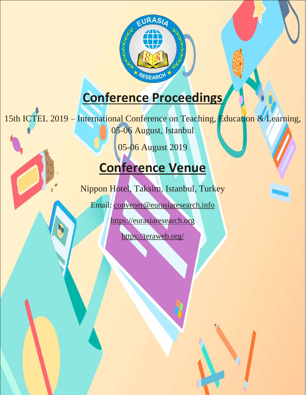

# **Conference Proceedings**

15th ICTEL 2019 – International Conference on Teaching, Education & Learning,

05-06 August, Istanbul

05-06 August 2019

# **Conference Venue**

Nippon Hotel, Taksim, Istanbul, Turkey

Email: [convener@eurasiaresearch.info](mailto:convener@eurasiaresearch.info)

[https://eurasiaresearch.org](https://eurasiaresearch.org/)

<https://teraweb.org/>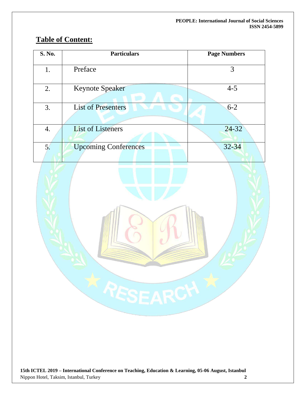## **Table of Content:**

| S. No. | <b>Particulars</b>          | <b>Page Numbers</b> |
|--------|-----------------------------|---------------------|
| 1.     | Preface                     | 3                   |
| 2.     | <b>Keynote Speaker</b>      | $4 - 5$             |
| 3.     | <b>List of Presenters</b>   | $6 - 2$             |
| 4.     | <b>List of Listeners</b>    | $24 - 32$           |
| 5.     | <b>Upcoming Conferences</b> | $32 - 34$           |

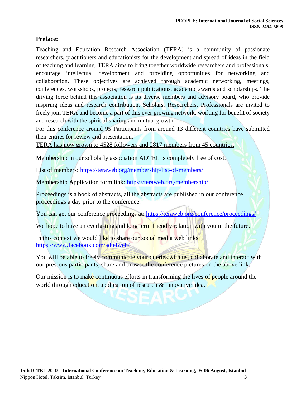#### **Preface:**

Teaching and Education Research Association (TERA) is a community of passionate researchers, practitioners and educationists for the development and spread of ideas in the field of teaching and learning. TERA aims to bring together worldwide researchers and professionals, encourage intellectual development and providing opportunities for networking and collaboration. These objectives are achieved through academic networking, meetings, conferences, workshops, projects, research publications, academic awards and scholarships. The driving force behind this association is its diverse members and advisory board, who provide inspiring ideas and research contribution. Scholars, Researchers, Professionals are invited to freely join TERA and become a part of this ever growing network, working for benefit of society and research with the spirit of sharing and mutual growth.

For this conference around 95 Participants from around 13 different countries have submitted their entries for review and presentation.

TERA has now grown to 4528 followers and 2817 members from 45 countries.

Membership in our scholarly association ADTEL is completely free of cost.

List of members: https://teraweb.org/membership/list-of-members/

Membership Application form link: https://teraweb.org/membership/

Proceedings is a book of abstracts, all the abstracts are published in our conference proceedings a day prior to the conference.

You can get our conference proceedings at: https://teraweb.org/conference/proceedings/

We hope to have an everlasting and long term friendly relation with you in the future.

In this context we would like to share our social media web links: <https://www.facebook.com/adtelweb/>

You will be able to freely communicate your queries with us, collaborate and interact with our previous participants, share and browse the conference pictures on the above link.

Our mission is to make continuous efforts in transforming the lives of people around the world through education, application of research & innovative idea.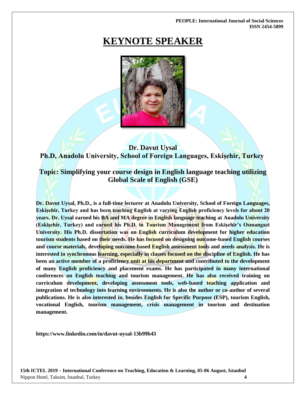# **KEYNOTE SPEAKER**



### **Dr. Davut Uysal Ph.D, Anadolu University, School of Foreign Languages, Eskişehir, Turkey**

### **Topic: Simplifying your course design in English language teaching utilizing Global Scale of English (GSE)**

**Dr. Davut Uysal, Ph.D., is a full-time lecturer at Anadolu University, School of Foreign Languages, Eskişehir, Turkey and has been teaching English at varying English proficiency levels for about 20 years. Dr. Uysal earned his BA and MA degree in English language teaching at Anadolu University (Eskişehir, Turkey) and earned his Ph.D. in Tourism Management from Eskişehir's Osmangazi University. His Ph.D. dissertation was on English curriculum development for higher education tourism students based on their needs. He has focused on designing outcome-based English courses and course materials, developing outcome-based English assessment tools and needs analysis. He is interested in synchronous learning, especially in classes focused on the discipline of English. He has been an active member of a proficiency unit at his department and contributed to the development of many English proficiency and placement exams. He has participated in many international conferences on English teaching and tourism management. He has also received training on curriculum development, developing assessment tools, web-based teaching application and integration of technology into learning environments. He is also the author or co-author of several publications. He is also interested in, besides English for Specific Purpose (ESP), tourism English, vocational English, tourism management, crisis management in tourism and destination management.**

**https://www.linkedin.com/in/davut-uysal-13b99b43**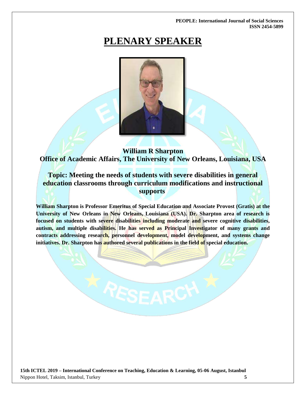# **PLENARY SPEAKER**



**William R Sharpton Office of Academic Affairs, The University of New Orleans, Louisiana, USA**

**Topic: Meeting the needs of students with severe disabilities in general education classrooms through curriculum modifications and instructional supports**

**William Sharpton is Professor Emeritus of Special Education and Associate Provost (Gratis) at the University of New Orleans in New Orleans, Louisiana (USA). Dr. Sharpton area of research is focused on students with severe disabilities including moderate and severe cognitive disabilities, autism, and multiple disabilities. He has served as Principal Investigator of many grants and contracts addressing research, personnel development, model development, and systems change initiatives. Dr. Sharpton has authored several publications in the field of special education.**

RESEARCH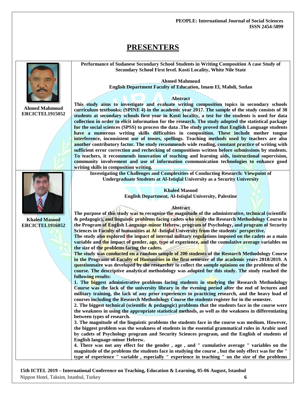### **PRESENTERS**



**Ahmed Mahmoud ERCICTEL1915052**

**Khaled Masood ERCICTEL1916052**

**This study aims to investigate and evaluate writing composition topics in secondary schools curriculum textbooks; (SPINE 4) in the academic year 2017. The sample of the study consists of 30 students at secondary schools first year in Kosti locality, a test for the students is used for data collection in order to elicit information for the research. The study adopted the statistical package for the social sciences (SPSS) to process the data .The study proved that English Language students have a numerous writing skills difficulties in composition. These include mother tongue interference, inconsistent use of tenses, spellings. Teaching methods used by teachers are also another contributory factor. The study recommends wide reading, constant practice of writing with sufficient error correction and rechecking of compositions written before submissions by students. To teachers, it recommends innovation of teaching and learning aids, instructional supervision, community involvement and use of information communication technologies to enhance good writing skills in composition writing.**

**Performance of Sudanese Secondary School Students in Writing Composition A case Study of Secondary School First level. Kosti Locality, White Nile State** 

> **Ahmed Mahmoud English Department Faculty of Education, Imam El, Mahdi, Sudan**

> > **Abstract**

**Investigating the Challenges and Complexities of Conducting Research: Viewpoint of Undergraduate Students at Al-Istiqlal University as a Security University**

> **Khaled Masood English Department, Al-Istiqlal University, Palestine**

#### **Abstract**

**The purpose of this study was to recognize the magnitude of the administrative, technical (scientific & pedagogic), and linguistic problems facing cadets who study the Research Methodology Course in the Program of English Language-minor Hebrew, program of Psychology, and program of Security Sciences in Faculty of humanities at Al -Istiqlal University from the students` perspective.** 

**The study also explored the impact of internal military regulations imposed on the cadets as a main variable and the impact of gender, age, type of experience, and the cumulative average variables on the size of the problems facing the cadets.**

**The study was conducted on a random sample of 200 students of the Research Methodology Course in the Programs of Faculty of Humanities in the first semester of the academic years 2018/2019. A questionnaire was developed by the researcher to collect the sample opinions on the problems of the course. The descriptive analytical methodology was adopted for this study. The study reached the following results:**

**1. The biggest administrative problems facing students in studying the Research Methodology Course was the lack of the university library in the evening period after the end of lectures and military training, the lack of any prior experiences in practicing research, and the heavy load of courses including the Research Methodology Course the students register for in the semester.**

**2. The biggest technical (scientific & pedagogic) problems that the students face in the course were the weakness in using the appropriate statistical methods, as well as the weakness in differentiating between types of research.**

**3. The magnitude of the linguistic problems the students face in the course was medium. However, the biggest problem was the weakness of students in the essential grammatical rules in Arabic used by cadets of Psychology program and Security Sciences program, and the English of students of English language-minor Hebrew.**

**4. There was not any effect for the gender , age , and " cumulative average " variables on the magnitude of the problems the students face in studying the course , but the only effect was for the " type of experience " variable , especially " experience in teaching " on the size of the problems**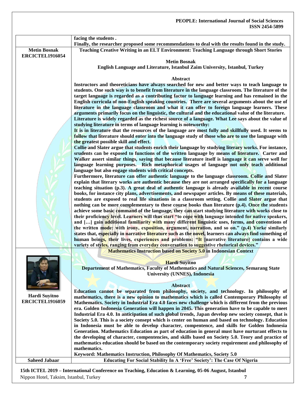|                        | facing the students.<br>Finally, the researcher proposed some recommendations to deal with the results found in the study.                                                                                 |
|------------------------|------------------------------------------------------------------------------------------------------------------------------------------------------------------------------------------------------------|
| <b>Metin Bosnak</b>    | Teaching Creative Writing in an ELT Environment: Teaching Language through Short Stories                                                                                                                   |
| <b>ERCICTEL1916054</b> |                                                                                                                                                                                                            |
|                        | <b>Metin Bosnak</b>                                                                                                                                                                                        |
|                        | English Language and Literature, Istanbul Zaim University, Istanbul, Turkey                                                                                                                                |
|                        |                                                                                                                                                                                                            |
|                        | Abstract                                                                                                                                                                                                   |
|                        | Instructors and theoreticians have always searched for new and better ways to teach language to                                                                                                            |
|                        | students. One such way is to benefit from literature in the language classroom. The literature of the<br>target language is regarded as a contributing factor to language learning and has remained in the |
|                        | English curricula of non-English speaking countries. There are several arguments about the use of                                                                                                          |
|                        | literature in the language classroom and what it can offer to foreign language learners. These                                                                                                             |
|                        | arguments primarily focus on the linguistic, the cultural and the educational value of the literature.                                                                                                     |
|                        | Literature is widely regarded as the richest source of a language. What Lee says about the value of                                                                                                        |
|                        | studying literature in terms of language learning is noteworthy:                                                                                                                                           |
|                        | It is in literature that the resources of the language are most fully and skillfully used. It seems to                                                                                                     |
|                        | follow that literature should enter into the language study of those who are to use the language with                                                                                                      |
|                        | the greatest possible skill and effect.                                                                                                                                                                    |
|                        | Collie and Slater argue that students enrich their language by studying literary works. For instance,<br>srudents can be exposed to functions of the written language by means of literature. Carter and   |
|                        | Walker assert similar things, saying that because literature itself is language it can serve well for                                                                                                      |
|                        | language learning purposes. Rich metaphorical usages of language not only teach additional                                                                                                                 |
|                        | language but also engage students with critical concepts.                                                                                                                                                  |
|                        | Furthermore, literature can offer authentic language to the language classroom. Collie and Slater                                                                                                          |
|                        | explain that literary works are authentic because they are not arranged specifically for a language                                                                                                        |
|                        | teaching situation (p.3). A great deal of authentic language is already available in recent course                                                                                                         |
|                        | books, for instance city plans, advertisements, and newspaper articles. By means of these materials,<br>students are exposed to real life situations in a classroom setting. Collie and Slater argue that  |
|                        | nothing can be more complementary to these course books than literature (p.4). Once the students                                                                                                           |
|                        | achieve some basic command of the language, they can start studying literature with works close to                                                                                                         |
|                        | their proficiency level. Learners will thus start "to cope with language intended for native speakers,                                                                                                     |
|                        | and [] gain additional familiarity with many different linguistic uses, forms, and conventions of                                                                                                          |
|                        | the written mode; with irony, exposition, argument, narration, and so on." (p.4) Yorke similarly                                                                                                           |
|                        | states that, especially in narrative literature such as the novel, learners can always find something of                                                                                                   |
|                        | human beings, their lives, experiences and problems: "It [narrative literature] contains a wide                                                                                                            |
|                        | variety of styles, ranging from everyday conversation to suggestive rhetorical devices."<br><b>Mathematics Instruction based on Society 5.0</b> in Indonesian Context                                      |
|                        |                                                                                                                                                                                                            |
|                        | <b>Hardi Suyitno</b>                                                                                                                                                                                       |
|                        | Departement of Mathematics, Faculty of Mathematics and Natural Sciences, Semarang State                                                                                                                    |
|                        | <b>University (UNNES), Indonesia</b>                                                                                                                                                                       |
|                        |                                                                                                                                                                                                            |
|                        | <b>Abstract</b><br>Education cannot be separated from philosophy, society, and technology. In philosophy of                                                                                                |
| Hardi Suyitno          | mathematics, there is a new opinion to mathematics which is called Contemporary Philosophy of                                                                                                              |
| <b>ERCICTEL1916059</b> | Mathematics. Society in Industrial Era 4.0 faces new challenge which is different from the previous                                                                                                        |
|                        | era. Golden Indonesia Generation will happen in 2045. This generation have to be capable to meet                                                                                                           |
|                        | Industrial Era 4.0. In anticipation of such global trends, Japan develop new society consept, that is                                                                                                      |
|                        | Society 5.0. This is a society consept which is center on human and based on technology. Education                                                                                                         |
|                        | in Indonesia must be able to develop character, compentence, and skills for Golden Indonesia                                                                                                               |
|                        | Generation. Mathematics Education as part of education in general must have nurturant effects to<br>the developing of character, compentencies, and skills based on Society 5.0. Teory and practice of     |
|                        | mathematics education should be based on the contemporary society requirement and philosophy of                                                                                                            |
|                        | mathematics.                                                                                                                                                                                               |
|                        | Keyword: Mathematics Instruction, Philosophy Of Mathematics, Society 5.0                                                                                                                                   |
| <b>Saheed Jabaar</b>   | Educating For Social Stability In A 'Free' Society': The Case Of Nigeria                                                                                                                                   |
|                        | 15th ICTEL 2010. International Conference on Teaching Education & Learning 05.06 Avgust Istanbul                                                                                                           |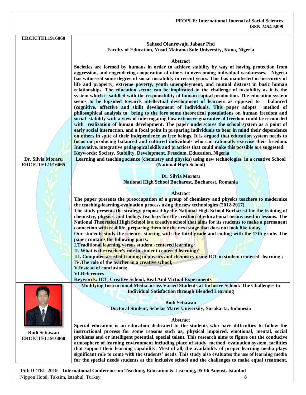| <b>ERCICTEL1916060</b>                                                                               |                                                                                                                                                                                                       |
|------------------------------------------------------------------------------------------------------|-------------------------------------------------------------------------------------------------------------------------------------------------------------------------------------------------------|
|                                                                                                      | Saheed Olanrewaju Jabaar Phd<br>Faculty of Education, Yusuf Maitama Sule University, Kano, Nigeria                                                                                                    |
|                                                                                                      |                                                                                                                                                                                                       |
|                                                                                                      | Abstract                                                                                                                                                                                              |
|                                                                                                      | Societies are formed by humans in order to achieve stability by way of having protection from                                                                                                         |
|                                                                                                      | aggression, and engendering cooperation of others in overcoming individual weaknesses. Nigeria                                                                                                        |
|                                                                                                      | has witnessed some degree of social instability in recent years. This has manifested in insecurity of                                                                                                 |
|                                                                                                      | life and property, extreme poverty, youth unemployment, and mutual distrust in basic human<br>relationships. The education sector can be implicated in the challenge of instability as it is the      |
|                                                                                                      | system which is saddled with the responsibility of human capital production. The education system                                                                                                     |
|                                                                                                      | seems to be lopsided towards intellectual development of learners as opposed to<br>balanced                                                                                                           |
|                                                                                                      | (cognitive, affective and skill) development of individuals. This paper adopts<br>method of                                                                                                           |
|                                                                                                      | philosophical analysis to bring to the fore some theoretical postulations on human freedom and                                                                                                        |
|                                                                                                      | social stability with a view of interrogating how extensive guarantee of freedom could be reconciled                                                                                                  |
|                                                                                                      | with realization of human development. The paper underscores the school system as a point of<br>early social interaction, and a focal point in preparing individuals to bear in mind their dependence |
|                                                                                                      | on others in spite of their independence as free beings. It is argued that education system needs to                                                                                                  |
|                                                                                                      | focus on producing balanced and cultured individuals who can rationally exercise their freedom.                                                                                                       |
|                                                                                                      | Innovative, integrative pedagogical skills and practices that could make this possible are suggested.                                                                                                 |
|                                                                                                      | Keywords: Society, Stability, Development, Freedom, Education, Nigeria                                                                                                                                |
| Dr. Silvia Moraru<br><b>ERCICTEL1916065</b>                                                          | Learning and teaching science (chemistry and physics) using new technologies in a creative School<br>(National High School)                                                                           |
|                                                                                                      |                                                                                                                                                                                                       |
|                                                                                                      | Dr. Silvia Moraru                                                                                                                                                                                     |
|                                                                                                      | National High School Bucharest, Bucharest, Romania                                                                                                                                                    |
|                                                                                                      | <b>Abstract</b>                                                                                                                                                                                       |
|                                                                                                      | The paper presents the preoccupation of a group of chemistry and physics teachers to modernize                                                                                                        |
|                                                                                                      | the teaching-learning-evaluation process using the new technologies (2012-2017).                                                                                                                      |
|                                                                                                      | The study presents the strategy proposed by the National High School Bucharest for the training of                                                                                                    |
|                                                                                                      | chemistry, physics, and biology teachers for the creation of educational means used in lessons. The                                                                                                   |
|                                                                                                      | National Theoretical High School is a creative school that aims for its students to make a permanent<br>connection with real life, preparing them for the next stage that does not look like today.   |
|                                                                                                      | Our students study the sciences starting with the third grade and ending with the 12th grade. The                                                                                                     |
|                                                                                                      | paper contains the following parts:                                                                                                                                                                   |
|                                                                                                      | I.Traditional learning versus student -centered learning;                                                                                                                                             |
|                                                                                                      | II. What is the teacher's role in student-centered learning?                                                                                                                                          |
|                                                                                                      | III. Computer-assisted training in physics and chemistry using ICT in student centered -learning;<br>IV. The role of the teacher in a creative school;                                                |
|                                                                                                      | <b>V.Instead of conclusions;</b>                                                                                                                                                                      |
|                                                                                                      | <b>VI.References</b>                                                                                                                                                                                  |
|                                                                                                      | <b>Keywords: ICT, Creative School, Real And Virtual Experiments</b>                                                                                                                                   |
|                                                                                                      | Modifying Instructional Media across Varied Students at Inclusive School: The Challenges to                                                                                                           |
|                                                                                                      | <b>Individual Satisfaction through Blended Learning</b>                                                                                                                                               |
|                                                                                                      | <b>Budi Setiawan</b>                                                                                                                                                                                  |
|                                                                                                      | Doctoral Student, Sebelas Maret University, Surakarta, Indonesia                                                                                                                                      |
|                                                                                                      |                                                                                                                                                                                                       |
|                                                                                                      | Abstract                                                                                                                                                                                              |
| <b>Budi Setiawan</b>                                                                                 | Special education is an education dedicated to the students who have difficulties to follow the<br>instructional process for some reasons such as; physical impaired, emotional, mental, social       |
| <b>ERCICTEL1916068</b>                                                                               | problems and or intelligent potential, special talent. This research aims to figure out the conducive                                                                                                 |
|                                                                                                      | atmosphere of learning environment including place of study, method, evaluation system, facilities                                                                                                    |
|                                                                                                      | that support their learning capability. Most of all, the availability of proper learning media plays                                                                                                  |
|                                                                                                      | significant role to come with the students' needs. This study also evaluates the use of learning media                                                                                                |
|                                                                                                      | for the special needs students at the inclusive school and the challenges to make equal treatment,                                                                                                    |
| 15th ICTEL 2019 - International Conference on Teaching, Education & Learning, 05-06 August, Istanbul |                                                                                                                                                                                                       |

Nippon Hotel, Taksim, Istanbul, Turkey **8**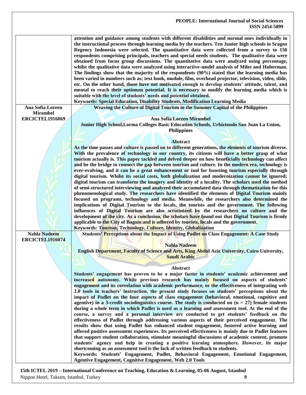|                        | <b>PEOPLE: International Journal of Social Sciences</b><br><b>ISSN 2454-5899</b>                                                                                                                                                                                                                                                                                                                                                                                                                                                                                                                                                                                                                                                                                                                                                                                                                                                                                                                                                                                                                                                                                                             |
|------------------------|----------------------------------------------------------------------------------------------------------------------------------------------------------------------------------------------------------------------------------------------------------------------------------------------------------------------------------------------------------------------------------------------------------------------------------------------------------------------------------------------------------------------------------------------------------------------------------------------------------------------------------------------------------------------------------------------------------------------------------------------------------------------------------------------------------------------------------------------------------------------------------------------------------------------------------------------------------------------------------------------------------------------------------------------------------------------------------------------------------------------------------------------------------------------------------------------|
|                        | attention and guidance among students with different disabilities and normal ones individually in<br>the instructional process through learning media by the teachers. Ten Junior high schools in Sragen<br>Regency Indonesia were selected. The quantitative data were collected from a survey to 150<br>respondents comprising principals, teachers and special needs students. The qualitative data were<br>obtained from focus group discussions. The quantitative data were analyzed using percentage,<br>whilst the qualitative data were analyzed using interactive-model analysis of Miles and Huberman.<br>The findings show that the majority of the respondents (90%) stated that the learning media has<br>been varied in numbers such as; text book, module, film, overhead projector, television, video, slide,<br>etc. On the other hand, those have not motivated enough to develop students' attitude, talent, and<br>mental to reach their optimum potential. It is necessary to modify the learning media which is<br>suitable with the level of students' needs and potential obtained.<br>Keywords: Special Education, Disability Students, Modification Learning Media |
| Ana Sofia Loreen       | Weaving the Culture of Digital Tourism in the Summer Capital of the Philippines                                                                                                                                                                                                                                                                                                                                                                                                                                                                                                                                                                                                                                                                                                                                                                                                                                                                                                                                                                                                                                                                                                              |
| <b>Mirambel</b>        |                                                                                                                                                                                                                                                                                                                                                                                                                                                                                                                                                                                                                                                                                                                                                                                                                                                                                                                                                                                                                                                                                                                                                                                              |
| <b>ERCICTEL1916069</b> | Ana Sofia Loreen Mirambel                                                                                                                                                                                                                                                                                                                                                                                                                                                                                                                                                                                                                                                                                                                                                                                                                                                                                                                                                                                                                                                                                                                                                                    |
|                        | Junior High School, Lorma Colleges Basic Education Schools, Urbiztondo San Juan La Union,<br><b>Philippines</b>                                                                                                                                                                                                                                                                                                                                                                                                                                                                                                                                                                                                                                                                                                                                                                                                                                                                                                                                                                                                                                                                              |
|                        |                                                                                                                                                                                                                                                                                                                                                                                                                                                                                                                                                                                                                                                                                                                                                                                                                                                                                                                                                                                                                                                                                                                                                                                              |
|                        | <b>Abstract</b>                                                                                                                                                                                                                                                                                                                                                                                                                                                                                                                                                                                                                                                                                                                                                                                                                                                                                                                                                                                                                                                                                                                                                                              |
|                        | As the time passes and culture is passed on to different generations, the elements of tourism diverse.                                                                                                                                                                                                                                                                                                                                                                                                                                                                                                                                                                                                                                                                                                                                                                                                                                                                                                                                                                                                                                                                                       |
|                        | With the prevalence of technology in our country, its citizens will have a better grasp of what                                                                                                                                                                                                                                                                                                                                                                                                                                                                                                                                                                                                                                                                                                                                                                                                                                                                                                                                                                                                                                                                                              |
|                        | tourism actually is. This paper tackled and delved deeper on how beneficially technology can affect                                                                                                                                                                                                                                                                                                                                                                                                                                                                                                                                                                                                                                                                                                                                                                                                                                                                                                                                                                                                                                                                                          |
|                        | and be the bridge to connect the gap between tourism and culture. In the modern era, technology is<br>ever-evolving, and it can be a great enhancement or tool for boosting tourism especially through                                                                                                                                                                                                                                                                                                                                                                                                                                                                                                                                                                                                                                                                                                                                                                                                                                                                                                                                                                                       |
|                        | digital tourism. Whilst its social costs, both globalization and modernization cannot be ignored;                                                                                                                                                                                                                                                                                                                                                                                                                                                                                                                                                                                                                                                                                                                                                                                                                                                                                                                                                                                                                                                                                            |
|                        | digital tourism can transform the imagery and identity of a locality. The scholars used the method                                                                                                                                                                                                                                                                                                                                                                                                                                                                                                                                                                                                                                                                                                                                                                                                                                                                                                                                                                                                                                                                                           |
|                        | of semi-structured interviewing and analyzed their accumulated data through thematization for this                                                                                                                                                                                                                                                                                                                                                                                                                                                                                                                                                                                                                                                                                                                                                                                                                                                                                                                                                                                                                                                                                           |
|                        | phenomenological study. The researchers have identified the elements of Digital Tourism mainly                                                                                                                                                                                                                                                                                                                                                                                                                                                                                                                                                                                                                                                                                                                                                                                                                                                                                                                                                                                                                                                                                               |
|                        | focused on programs, technology and media. Meanwhile, the researchers also determined the                                                                                                                                                                                                                                                                                                                                                                                                                                                                                                                                                                                                                                                                                                                                                                                                                                                                                                                                                                                                                                                                                                    |
|                        | implications of Digital Tourism to the locals, the tourists and the government. The following                                                                                                                                                                                                                                                                                                                                                                                                                                                                                                                                                                                                                                                                                                                                                                                                                                                                                                                                                                                                                                                                                                |
|                        | influences of Digital Tourism are also scrutinized by the researchers on culture and the                                                                                                                                                                                                                                                                                                                                                                                                                                                                                                                                                                                                                                                                                                                                                                                                                                                                                                                                                                                                                                                                                                     |
|                        | development of the city. As a conclusion, the scholars have found out that Digital Tourism is firmly                                                                                                                                                                                                                                                                                                                                                                                                                                                                                                                                                                                                                                                                                                                                                                                                                                                                                                                                                                                                                                                                                         |
|                        | applicable to the City of Baguio and is adhered by tourists, locals and the government.                                                                                                                                                                                                                                                                                                                                                                                                                                                                                                                                                                                                                                                                                                                                                                                                                                                                                                                                                                                                                                                                                                      |
|                        | Keywords: Tourism, Technology, Culture, Identity, Globalization                                                                                                                                                                                                                                                                                                                                                                                                                                                                                                                                                                                                                                                                                                                                                                                                                                                                                                                                                                                                                                                                                                                              |
| <b>Nahla Nadeem</b>    | Students' Perceptions about the Impact of Using Padlet on Class Engagement: A Case Study                                                                                                                                                                                                                                                                                                                                                                                                                                                                                                                                                                                                                                                                                                                                                                                                                                                                                                                                                                                                                                                                                                     |
| <b>ERCICTEL1916074</b> |                                                                                                                                                                                                                                                                                                                                                                                                                                                                                                                                                                                                                                                                                                                                                                                                                                                                                                                                                                                                                                                                                                                                                                                              |
|                        | <b>Nahla Nadeem</b>                                                                                                                                                                                                                                                                                                                                                                                                                                                                                                                                                                                                                                                                                                                                                                                                                                                                                                                                                                                                                                                                                                                                                                          |
|                        | English Department, Faculty of Science and Arts, King Abdul Aziz University, Cairo University,                                                                                                                                                                                                                                                                                                                                                                                                                                                                                                                                                                                                                                                                                                                                                                                                                                                                                                                                                                                                                                                                                               |
|                        | <b>Saudi Arabic</b>                                                                                                                                                                                                                                                                                                                                                                                                                                                                                                                                                                                                                                                                                                                                                                                                                                                                                                                                                                                                                                                                                                                                                                          |
|                        |                                                                                                                                                                                                                                                                                                                                                                                                                                                                                                                                                                                                                                                                                                                                                                                                                                                                                                                                                                                                                                                                                                                                                                                              |
|                        | Abstract                                                                                                                                                                                                                                                                                                                                                                                                                                                                                                                                                                                                                                                                                                                                                                                                                                                                                                                                                                                                                                                                                                                                                                                     |
|                        | Students' engagement has proven to be a major factor in students' academic achievement and                                                                                                                                                                                                                                                                                                                                                                                                                                                                                                                                                                                                                                                                                                                                                                                                                                                                                                                                                                                                                                                                                                   |
|                        | increased autonomy. While previous research has mainly focused on aspects of students'                                                                                                                                                                                                                                                                                                                                                                                                                                                                                                                                                                                                                                                                                                                                                                                                                                                                                                                                                                                                                                                                                                       |
|                        | engagement and its correlation with academic performance, or the effectiveness of integrating web                                                                                                                                                                                                                                                                                                                                                                                                                                                                                                                                                                                                                                                                                                                                                                                                                                                                                                                                                                                                                                                                                            |
|                        | 2.0 tools in teachers' instruction, the present study focuses on students' perceptions about the                                                                                                                                                                                                                                                                                                                                                                                                                                                                                                                                                                                                                                                                                                                                                                                                                                                                                                                                                                                                                                                                                             |
|                        | impact of Padlet on the four aspects of class engagement (behavioral, emotional, cognitive and                                                                                                                                                                                                                                                                                                                                                                                                                                                                                                                                                                                                                                                                                                                                                                                                                                                                                                                                                                                                                                                                                               |
|                        | agentive) in a 3-credit sociolinguistics course. The study is conducted on $(n = 27)$ female students                                                                                                                                                                                                                                                                                                                                                                                                                                                                                                                                                                                                                                                                                                                                                                                                                                                                                                                                                                                                                                                                                        |
|                        | during a whole term in which Padlet is used as a learning and assessment tool. At the end of the                                                                                                                                                                                                                                                                                                                                                                                                                                                                                                                                                                                                                                                                                                                                                                                                                                                                                                                                                                                                                                                                                             |
|                        | course, a survey and a personal interview are conducted to get students' feedback on the                                                                                                                                                                                                                                                                                                                                                                                                                                                                                                                                                                                                                                                                                                                                                                                                                                                                                                                                                                                                                                                                                                     |
|                        | effectiveness of Padlet through addressing various aspects of their perceived engagement. The                                                                                                                                                                                                                                                                                                                                                                                                                                                                                                                                                                                                                                                                                                                                                                                                                                                                                                                                                                                                                                                                                                |
|                        | results show that using Padlet has enhanced student engagement, fostered active learning and                                                                                                                                                                                                                                                                                                                                                                                                                                                                                                                                                                                                                                                                                                                                                                                                                                                                                                                                                                                                                                                                                                 |
|                        | offered positive assessment experiences. Its perceived effectiveness is mainly due to Padlet features                                                                                                                                                                                                                                                                                                                                                                                                                                                                                                                                                                                                                                                                                                                                                                                                                                                                                                                                                                                                                                                                                        |
|                        | that support student collaboration, stimulate meaningful discussions of academic content, promote                                                                                                                                                                                                                                                                                                                                                                                                                                                                                                                                                                                                                                                                                                                                                                                                                                                                                                                                                                                                                                                                                            |
|                        | students' agency and help in creating a positive learning atmosphere. However, its major                                                                                                                                                                                                                                                                                                                                                                                                                                                                                                                                                                                                                                                                                                                                                                                                                                                                                                                                                                                                                                                                                                     |
|                        | shortcoming as an assessment tool is the lack of written feedback to students.                                                                                                                                                                                                                                                                                                                                                                                                                                                                                                                                                                                                                                                                                                                                                                                                                                                                                                                                                                                                                                                                                                               |
|                        |                                                                                                                                                                                                                                                                                                                                                                                                                                                                                                                                                                                                                                                                                                                                                                                                                                                                                                                                                                                                                                                                                                                                                                                              |

**Keywords: Students' Engagement, Padlet, Behavioral Engagement, Emotional Engagement, Agentive Engagement, Cognitive Engagement, Web 2.0 Tools**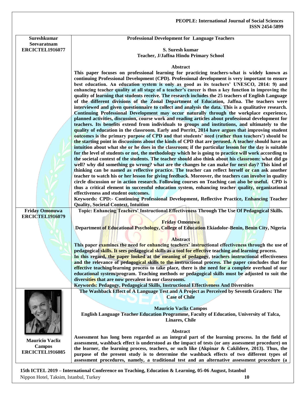**Sureshkumar Seevaratnam ERCICTEL1916077** **Professional Development for Language Teachers**

**S. Suresh kumar Teacher, J/Jaffna Hindu Primary School**

#### **Abstract**

**This paper focuses on professional learning for practicing teachers-what is widely known as continuing Professional Development (CPD). Professional development is very important to ensure best education. An education system is only as good as its teachers' UNESCO, 2014: 9) and enhancing teacher quality at all stage of a teacher's career is thus a key function in improving the quality of learning that students receive. The research includes the 25 teachers of English Language of the different divisions of the Zonal Department of Education, Jaffna. The teachers were interviewed and given questionnaire to collect and analysis the data. This is a qualitative research. Continuing Professional Development may occur naturally through the workplace experience, planned activities, discussion, course work and reading articles about professional development for teachers. Its benefits extend from individuals to groups and institutions, and ultimately to the quality of education in the classroom. Early and Porritt, 2014 have argues that improving student outcomes is the primary purpose of CPD and that students' need (rather than teachers') should be the starting point in discussions about the kinds of CPD that are perused. A teacher should have an intuition about what she or he does in the classroom; if the particular lesson for the day is suitable for the level of students or not, the methodology which he is going to practice will work according to the societal context of the students. The teacher should also think about his classroom: what did go well? why did something go wrong? what are the changes he can make for next day? This kind of thinking can be named as reflective practice. The teacher can reflect herself or can ask another teacher to watch his or her lesson for giving feedback. Moreover, the teachers can involve in quality circle discussion or in action research. Following courses on Teaching can also be useful. CPD is thus a critical element in successful education system, enhancing teacher quality, organizational effectiveness and student outcomes. Keywords: CPD:- Continuing Professional Development, Reflective Practice, Enhancing Teacher Quality, Societal Context, Intuition Friday Omonuwa ERCICTEL1916079 Topic: Enhancing Teachers' Instructional Effectiveness Through The Use Of Pedagogical Skills. Friday Omonuwa Department of Educational Psychology, College of Education Ekiadolor-Benin, Benin City, Nigeria Abstract This paper examines the need for enhancing teachers' instructional effectiveness through the use of pedagogical skills. It sees pedagogical skills as a tool for effective teaching and learning process. In this regard, the paper looked at the meaning of pedagogy, teachers instructional effectiveness and the relevance of pedagogical skills to the instructional process. The paper concludes that for effective teaching/learning process to take place, there is the need for a complete overhaul of our educational system/program. Teaching methods or pedagogical skills must be adjusted to suit the diversities that are now prevalent in our classrooms. Keywords: Pedagogy, Pedagogical Skills, Instructional Effectiveness And Diversities Mauricio Vacliz Campos ERCICTEL1916085 The Washback Effect of A Language Test and A Project as Perceived by Seventh Graders: The Case of Chile Mauricio Vacliz Campos English Language Teacher Education Programme, Faculty of Education, University of Talca, Linares, Chile Abstract Assessment has long been regarded as an integral part of the learning process. In the field of assessment, washback effect is understood as the impact of tests (or any assessment procedure) on the learner, the learning process, teachers, or such like (Akpinar & Cakildere, 2013). Thus, the purpose of the present study is to determine the washback effects of two different types of** 

**15th ICTEL 2019 – International Conference on Teaching, Education & Learning, 05-06 August, Istanbul**  Nippon Hotel, Taksim, Istanbul, Turkey **10**

**assessment procedures, namely, a traditional test and an alternative assessment procedure (a**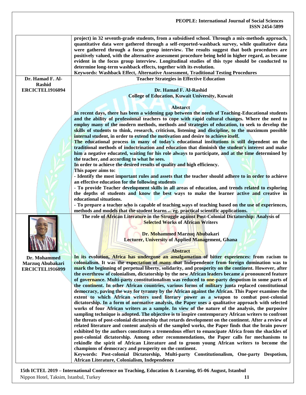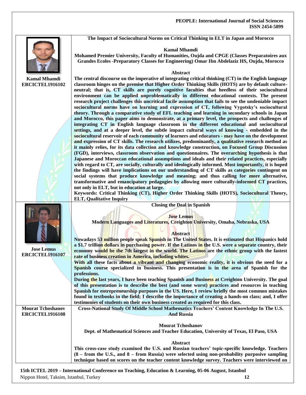**The Impact of Sociocultural Norms on Critical Thinking in ELT in Japan and Morocco**

#### **Kamal Mhamdi**

**Mohamed Premier University, Faculty of Humanities, Oujda and CPGE (Classes Preparatoires aux Grandes Ecoles -Preparatory Classes for Engineering) Omar Ibn Abdelaziz HS, Oujda, Morocco**

#### **Abstract The central discourse on the imperative of integrating critical thinking (CT) in the English language**

**Kamal Mhamdi ERCICTEL1916102**

| classroom hinges on the premise that Higher Order Thinking Skills (HOTS) are by default culture-      |
|-------------------------------------------------------------------------------------------------------|
| neutral; that is, CT skills are purely cognitive faculties that heedless of their sociocultural       |
| environment can be applied unproblematically in different educational contexts. The present           |
| research project challenges this uncritical facile assumption that fails to see the undeniable impact |
| sociocultural norms have on learning and expression of CT, following Vygotsky's sociocultural         |
| theory. Through a comparative study of EFL teaching and learning in secondary schools in Japan        |
| and Morocco, this paper aims to demonstrate, at a primary level, the prospects and challenges of      |
| integrating CT in English language classroom in the different educational and sociocultural           |
| settings, and at a deeper level, the subtle impact cultural ways of knowing - embedded in the         |
| sociocultural reservoir of each community of learners and educators - may have on the development     |
| and expression of CT skills. The research utilizes, predominantly, a qualitative research method as   |
| it mainly relies, for its data collection and knowledge construction, on Focused Group Discussion     |
| (FGD), interviews, classroom observation and questionnaires. The overarching hypothesis is that       |
| Japanese and Moroccan educational assumptions and ideals and their related practices, especially      |
| with regard to CT, are socially, culturally and ideologically informed. Most importantly, it is hoped |
| the findings will have implications on our understanding of CT skills as categories contingent on     |
| social systems that produce knowledge and meaning; and thus calling for more alternative,             |
| transformative and emancipatory pedagogies by allowing more culturally-informed CT practices,         |
| not only in ELT, but in education at large.                                                           |

**Keywords: Critical Thinking (CT), Higher Order Thinking Skills (HOTS), Sociocultural Theory, ELT, Qualitative Inquiry**

|                          | <b>Closing the Deal in Spanish</b>                                                                      |
|--------------------------|---------------------------------------------------------------------------------------------------------|
|                          | <b>Jose Lemus</b>                                                                                       |
|                          | Modern Languages and Literatures, Creighton University, Omaha, Nebraska, USA                            |
|                          |                                                                                                         |
|                          | <b>Abstract</b>                                                                                         |
|                          | Nowadays 53 million people speak Spanish in The United States. It is estimated that Hispanics hold      |
|                          | a \$1.7 trillion dollars in purchasing power. If the Latinos in the U.S. were a separate country, their |
| <b>Jose Lemus</b>        | economy would be the 7th largest in the world. The Latinos are the ethnic group with the fastest        |
| <b>ERCICTEL1916107</b>   | rate of business creation in America, including whites.                                                 |
|                          | With all these facts about a vibrant and changing economic reality, it is obvious the need for a        |
|                          | Spanish course specialized in business. This presentation is in the area of Spanish for the             |
|                          | professions.                                                                                            |
|                          | During the last years, I have been teaching Spanish and Business at Creighton University. The goal      |
|                          | of this presentation is to describe the best (and some worst) practices and resources in teaching       |
|                          | Spanish for entrepreneurship purposes in the US. Here, I review briefly the most common mistakes        |
|                          | found in textbooks in the field; I describe the importance of creating a hands-on class; and, I offer   |
|                          | testimonies of students on their own business created as required for this class.                       |
| <b>Mourat Tchoshanov</b> | Cross-National Study Of Middle School Mathematics Teachers' Content Knowledge In The U.S.               |
| ERCICTEL1916108          | <b>And Russia</b>                                                                                       |
|                          |                                                                                                         |
|                          | <b>Mourat Tchoshanov</b>                                                                                |
|                          | Dept. of Mathematical Sciences and Teacher Education, University of Texas, El Paso, USA                 |
|                          |                                                                                                         |
|                          | <b>Abstract</b>                                                                                         |
|                          | This cross-case study examined the U.S. and Russian teachers' topic-specific knowledge. Teachers        |
|                          | (8 – from the U.S., and 8 – from Russia) were selected using non-probability purposive sampling         |
|                          | technique based on scores on the teacher content knowledge survey. Teachers were interviewed on         |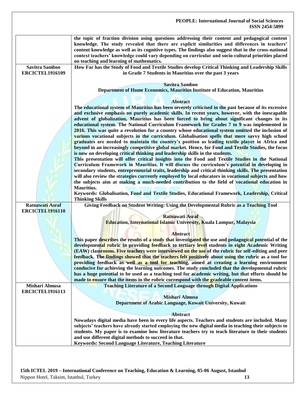#### **PEOPLE: International Journal of Social Sciences ISSN 2454-5899 the topic of fraction division using questions addressing their content and pedagogical content knowledge. The study revealed that there are explicit similarities and differences in teachers' content knowledge as well as its cognitive types. The findings also suggest that in the cross-national context teachers' knowledge could vary depending on curricular and socio-cultural priorities placed on teaching and learning of mathematics. Savitra Samboo ERCICTEL1916109 How Far has the Study of Food and Textile Studies develop Critical Thinking and Leadership Skills in Grade 7 Students in Mauritius over the past 3 years Savitra Samboo Department of Home Economics, Mauritius Institute of Education, Mauritius Abstract The educational system of Mauritius has been severely criticised in the past because of its excessive and exclusive emphasis on purely academic skills. In recent years, however, with the inescapable advent of globalization, Mauritius has been forced to bring about significant changes in its educational system. The National Curriculum Framework for Grades 7 to 9 was implemented in 2016. This was quite a revolution for a country whose educational system omitted the inclusion of various vocational subjects in the curriculum. Globalisation spells that more savvy high school graduates are needed to maintain the country's position as leading textile player in Africa and beyond in an increasingly competitive global market. Hence, for Food and Textile Studies, the focus is now on developing critical thinking and leadership skills in the students. This presentation will offer critical insights into the Food and Textile Studies in the National Curriculum Framework in Mauritius. It will discuss the curriculum's potential in developing in secondary students, entrepreneurial traits, leadership and critical thinking skills. The presentation will also review the strategies currently employed by local educators in vocational subjects and how the subjects aim at making a much-needed contribution to the field of vocational education in Mauritius. Keywords: Globalisation, Food and Textile Studies, Educational Framework, Leadership, Critical Thinking Skills Ratnawati Asraf ERCICTEL1916110 Giving Feedback on Student Writing: Using the Developmental Rubric as a Teaching Tool Ratnawati Asraf Education, International Islamic University, Kuala Lumpur, Malaysia Abstract This paper describes the results of a study that investigated the use and pedagogical potential of the developmental rubric in providing feedback to tertiary level students in eight Academic Writing (EAW) classrooms. Five teachers were interviewed on the use of the rubric for self-editing and peer feedback. The findings showed that the teachers felt positively about using the rubric as a tool for providing feedback as well as a tool for teaching, aimed at creating a learning environment conducive for achieving the learning outcomes. The study concluded that the developmental rubric has a huge potential to be used as a teaching tool for academic writing, but that efforts should be made to ensure that the items in the rubric correspond with the gradeable content items. Mishari Almusa ERCICTEL1916113 Teaching Literature of a Second Language through Digital Applications Mishari Almusa Department of Arabic Language, Kuwait University, Kuwait Abstract Nowadays digital media have been in every life aspects. Teachers and students are included. Many subjects' teachers have already started employing the new digital media in teaching their subjects to students. My paper is to examine how literature teachers try to teach literature to their students and use different digital methods to succeed in that. Keywords: Second Language Literature, Teaching Literature**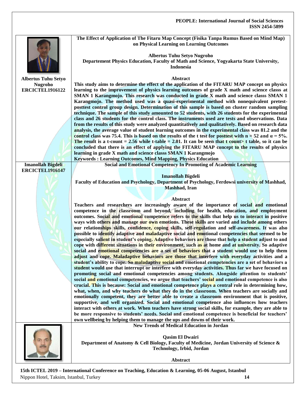|                                          | The Effect of Application of The Fitaru Map Concept (Fisika Tanpa Rumus Based on Mind Map)<br>on Physical Learning on Learning Outcomes                                                                                                                                                                                                                                                                                                                                                     |
|------------------------------------------|---------------------------------------------------------------------------------------------------------------------------------------------------------------------------------------------------------------------------------------------------------------------------------------------------------------------------------------------------------------------------------------------------------------------------------------------------------------------------------------------|
|                                          | <b>Albertus Tuhu Setyo Nugroho</b><br>Departement Physics Education, Faculty of Math and Science, Yogyakarta State University,<br>Indonesia                                                                                                                                                                                                                                                                                                                                                 |
|                                          |                                                                                                                                                                                                                                                                                                                                                                                                                                                                                             |
| <b>Albertus Tuhu Setyo</b>               | Abstract                                                                                                                                                                                                                                                                                                                                                                                                                                                                                    |
| <b>Nugroho</b><br><b>ERCICTEL1916122</b> | This study aims to determine the effect of the application of the FITARU MAP concept on physics<br>learning to the improvement of physics learning outcomes of grade X math and science classs at<br>SMAN 1 Karangmojo. This research was conducted in grade X math and science classs SMAN 1<br>Karangmojo. The method used was a quasi-experimental method with nonequivalent pretest-<br>posttest control group design. Determination of this sample is based on cluster random sampling |
|                                          | technique. The sample of this study amounted to 52 students, with 26 students for the experimental                                                                                                                                                                                                                                                                                                                                                                                          |
|                                          | class and 26 students for the control class. The instruments used are tests and observations. Data                                                                                                                                                                                                                                                                                                                                                                                          |
|                                          | from the results of this study were analyzed quantitatively and qualitatively. Based on research data                                                                                                                                                                                                                                                                                                                                                                                       |
|                                          | analysis, the average value of student learning outcomes in the experimental class was 81.2 and the                                                                                                                                                                                                                                                                                                                                                                                         |
|                                          | control class was 75.4. This is based on the results of the t test for posttest with $n = 52$ and $\alpha = 5\%$ .                                                                                                                                                                                                                                                                                                                                                                          |
|                                          | The result is a t-count $= 2.56$ while t-table $= 2.01$ . It can be seen that t count t table, so it can be                                                                                                                                                                                                                                                                                                                                                                                 |
|                                          | concluded that there is an effect of applying the FITARU MAP concept to the results of physics                                                                                                                                                                                                                                                                                                                                                                                              |
|                                          | learning in grade X math and science classs SMAN 1 Karangmojo                                                                                                                                                                                                                                                                                                                                                                                                                               |
| <b>Imanollah Bigdeli</b>                 | <b>Keywords: Learning Outcomes, Mind Mapping, Physics Education</b><br><b>Social and Emotional Competency In Promoting of Academic Learning</b>                                                                                                                                                                                                                                                                                                                                             |
| <b>ERCICTEL1916147</b>                   |                                                                                                                                                                                                                                                                                                                                                                                                                                                                                             |
|                                          | <b>Imanollah Bigdeli</b>                                                                                                                                                                                                                                                                                                                                                                                                                                                                    |
|                                          | Faculty of Education and Psychology, Department of Psychology, Ferdowsi university of Mashhad,                                                                                                                                                                                                                                                                                                                                                                                              |
|                                          | Mashhad, Iran                                                                                                                                                                                                                                                                                                                                                                                                                                                                               |
|                                          |                                                                                                                                                                                                                                                                                                                                                                                                                                                                                             |
|                                          | Abstract                                                                                                                                                                                                                                                                                                                                                                                                                                                                                    |
|                                          | Teachers and researchers are increasingly aware of the importance of social and emotional                                                                                                                                                                                                                                                                                                                                                                                                   |
|                                          | competence in the classroom and beyond, including for health, education, and employment                                                                                                                                                                                                                                                                                                                                                                                                     |
|                                          | outcomes. Social and emotional competence refers to the skills that help us to interact in positive<br>ways with others and manage our own emotions. These skills are varied and include among others                                                                                                                                                                                                                                                                                       |
|                                          | our relationships skills, confidence, coping skills, self-regulation and self-awareness. It was also                                                                                                                                                                                                                                                                                                                                                                                        |
|                                          | possible to identify adaptive and maladaptive social and emotional competencies that seemed to be                                                                                                                                                                                                                                                                                                                                                                                           |
|                                          | especially salient in student's coping. Adaptive behaviors are those that help a student adjust to and                                                                                                                                                                                                                                                                                                                                                                                      |
|                                          | cope with different situations in their environment, such as at home and at university. So adaptive                                                                                                                                                                                                                                                                                                                                                                                         |
|                                          | social and emotional competencies are a set of behaviors that a student would use to help them                                                                                                                                                                                                                                                                                                                                                                                              |
|                                          | adjust and cope. Maladaptive behaviors are those that interfere with everyday activities and a                                                                                                                                                                                                                                                                                                                                                                                              |
|                                          | student's ability to cope. So maladaptive social and emotional competencies are a set of behaviors a                                                                                                                                                                                                                                                                                                                                                                                        |
|                                          | student would use that interrupt or interfere with everyday activities. Thus far we have focused on                                                                                                                                                                                                                                                                                                                                                                                         |
|                                          | promoting social and emotional competencies among students. Alongside attention to students'<br>social and emotional competencies, we argue that teachers' social and emotional competence is also                                                                                                                                                                                                                                                                                          |
|                                          | crucial. This is because: Social and emotional competence plays a central role in determining how,                                                                                                                                                                                                                                                                                                                                                                                          |
|                                          | what, when, and why teachers do what they do in the classroom. When teachers are socially and                                                                                                                                                                                                                                                                                                                                                                                               |
|                                          | emotionally competent, they are better able to create a classroom environment that is positive,                                                                                                                                                                                                                                                                                                                                                                                             |
|                                          | supportive, and well organized. Social and emotional competence also influences how teachers                                                                                                                                                                                                                                                                                                                                                                                                |
|                                          | interact with others at work. When teachers have strong social skills, for example, they are able to                                                                                                                                                                                                                                                                                                                                                                                        |
|                                          | be more responsive to students' needs. Social and emotional competence is beneficial for teachers'                                                                                                                                                                                                                                                                                                                                                                                          |
|                                          | own wellbeing by helping them to manage the ups and downs of their work.                                                                                                                                                                                                                                                                                                                                                                                                                    |
|                                          | <b>New Trends of Medical Education in Jordan</b>                                                                                                                                                                                                                                                                                                                                                                                                                                            |
|                                          |                                                                                                                                                                                                                                                                                                                                                                                                                                                                                             |
|                                          | <b>Qasim El Dwairi</b><br>Department of Anatomy & Cell Biology, Faculty of Medicine, Jordan University of Science &                                                                                                                                                                                                                                                                                                                                                                         |
|                                          | Technology, Irbid, Jordan                                                                                                                                                                                                                                                                                                                                                                                                                                                                   |
|                                          |                                                                                                                                                                                                                                                                                                                                                                                                                                                                                             |
|                                          | Abstract                                                                                                                                                                                                                                                                                                                                                                                                                                                                                    |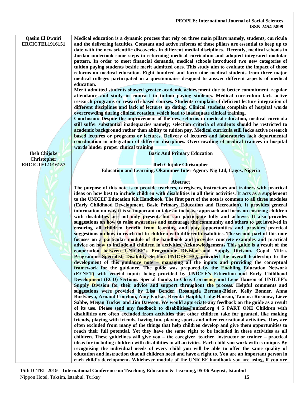#### **PEOPLE: International Journal of Social Sciences ISSN 2454-5899 Qasim El Dwairi ERCICTEL1916151 Medical education is a dynamic process that rely on three main pillars namely, students, curricula and the delivering faculties. Constant and active reforms of those pillars are essential to keep up to date with the new scientific discoveries in different medial disciplines. Recently, medical schools in Jordan undertook some steps in reforming medical curriculum and adopted integrated modular pattern. In order to meet financial demands, medical schools introduced two new categories of tuition paying students beside merit admitted ones. This study aim to evaluate the impact of those reforms on medical education. Eight hundred and forty nine medical students from three major medical colleges participated in a questionnaire designed to answer different aspects of medical education. Merit admitted students showed greater academic achievement due to better commitment, regular attendance and study in contrast to tuition paying students. Medical curriculum lack active research programs or research-based courses. Students complain of deficient lecture integration of different disciplines and lack of lectures up dating. Clinical students complain of hospital wards overcrowding during clinical rotation, which lead to inadequate clinical training. Conclusion: Despite the improvement of the new reforms in medical education, medical curricula still suffer substantial inadequacies namely; selection criteria of students should be restricted to academic background rather than ability to tuition pay. Medical curricula still lacks active research based lectures or programs or lectures. Delivery of lectures and laboratories lack departmental coordination in integration of different disciplines. Overcrowding of medical trainees in hospital wards hinder proper clinical training Ibeh Chijoke Christopher ERCICTEL1916157 Basic And Primary Education Ibeh Chijoke Christopher Education and Learning, Okanumee Inter Agency Nig Ltd, Lagos, Nigeria Abstract The purpose of this note is to provide teachers, caregivers, instructors and trainers with practical ideas on how best to include children with disabilities in all their activities. It acts as a supplement to the UNICEF Education Kit Handbook. The first part of the note is common to all three modules (Early Childhood Development, Basic Primary Education and Recreation). It provides general information on why it is so important to take an inclusive approach and focus on ensuring children**  with disabilities are not only present, but can participate fully and achieve. It also provides **suggestions on how to raise awareness and encourage the community and others to get involved in ensuring all children benefit from learning and play opportunities and provides practical suggestions on how to reach out to children with different disabilities. The second part of this note focuses on a particular module of the handbook and provides concrete examples and practical advice on how to include all children in activities. Acknowledgements This guide is a result of the cooperation between UNICEF's Programme Division and Supply Division. Gopal Mitra, Programme Specialist, Disability Section UNICEF HQ, provided the overall leadership to the development of this guidance note – managing all the inputs and providing the conceptual framework for the guidance. The guide was prepared by the Enabling Education Network (EENET) with crucial inputs being provided by UNICEF's Education and Early Childhood Development (ECD) Sections. Special thanks to Chris Cormency and Lene Hanson of UNICEF's Supply Division for their advice and support throughout the process. Helpful comments and suggestions were provided by Lisa Bender, Rosangela Berman-Bieler, Kelly Bonner, Anna Burlyaeva, Arnaud Conchon, Amy Farkas, Brenda Haiplik, Luke Hanson, Tamara Rusinow, Lieve Sabbe, Megan Tucker and Jim Dawson. We would appreciate any feedback on the guide as a result of its use. Please send any feedback to disabilities@unicef.org 4 5 PART ONE Children with disabilities are often excluded from activities that other children take for granted, like making friends, playing with friends, having fun, playing sports and other recreational activities. They are often excluded from many of the things that help children develop and give them opportunities to reach their full potential. Yet they have the same right to be included in these activities as all children. These guidelines will give you – the caregiver, teacher, instructor or trainer – practical ideas for including children with disabilities in all activities. Each child you work with is unique. By recognising the individual needs of every child you will be able to offer the same quality of education and instruction that all children need and have a right to. You are an important person in each child's development. Whichever module of the UNICEF handbook you are using, if you are**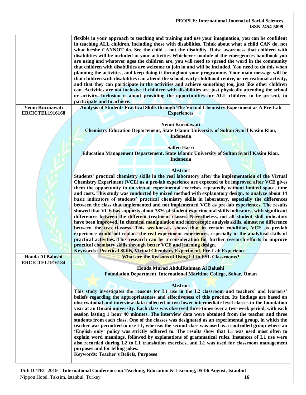| Yenni Kurniawati       | flexible in your approach to teaching and training and use your imagination, you can be confident<br>in teaching ALL children, including those with disabilities. Think about what a child CAN do, not<br>what he/she CANNOT do. See the child - not the disability. Raise awareness that children with<br>disabilities will be included in your activities Whichever module of the emergencies handbook you<br>are using and whatever ages the children are, you will need to spread the word in the community<br>that children with disabilities are welcome to join in and will be included. You need to do this when<br>planning the activities, and keep doing it throughout your programme. Your main message will be<br>that children with disabilities can attend the school, early childhood centre, or recreational activity,<br>and that they can participate in the activities and achieve something too, just like other children<br>can. Activities are not inclusive if children with disabilities are just physically attending the school<br>or activity. Inclusion is about providing the opportunities for ALL children to be present, to<br>participate and to achieve.<br>Analysis of Students Practical Skills through The Virtual Chemistry Experiment as A Pre-Lab |
|------------------------|--------------------------------------------------------------------------------------------------------------------------------------------------------------------------------------------------------------------------------------------------------------------------------------------------------------------------------------------------------------------------------------------------------------------------------------------------------------------------------------------------------------------------------------------------------------------------------------------------------------------------------------------------------------------------------------------------------------------------------------------------------------------------------------------------------------------------------------------------------------------------------------------------------------------------------------------------------------------------------------------------------------------------------------------------------------------------------------------------------------------------------------------------------------------------------------------------------------------------------------------------------------------------------------------|
| ERCICTEL1916168        | <b>Experiences</b>                                                                                                                                                                                                                                                                                                                                                                                                                                                                                                                                                                                                                                                                                                                                                                                                                                                                                                                                                                                                                                                                                                                                                                                                                                                                         |
|                        |                                                                                                                                                                                                                                                                                                                                                                                                                                                                                                                                                                                                                                                                                                                                                                                                                                                                                                                                                                                                                                                                                                                                                                                                                                                                                            |
|                        | Yenni Kurniawati<br><b>Chemistry Education Departement, State Islamic University of Sultan Syarif Kasim Riau,</b>                                                                                                                                                                                                                                                                                                                                                                                                                                                                                                                                                                                                                                                                                                                                                                                                                                                                                                                                                                                                                                                                                                                                                                          |
|                        | <b>Indonesia</b>                                                                                                                                                                                                                                                                                                                                                                                                                                                                                                                                                                                                                                                                                                                                                                                                                                                                                                                                                                                                                                                                                                                                                                                                                                                                           |
|                        |                                                                                                                                                                                                                                                                                                                                                                                                                                                                                                                                                                                                                                                                                                                                                                                                                                                                                                                                                                                                                                                                                                                                                                                                                                                                                            |
|                        | <b>Salfen Hasri</b>                                                                                                                                                                                                                                                                                                                                                                                                                                                                                                                                                                                                                                                                                                                                                                                                                                                                                                                                                                                                                                                                                                                                                                                                                                                                        |
|                        | <b>Education Management Departement, State Islamic University of Sultan Syarif Kasim Riau,</b><br><b>Indonesia</b>                                                                                                                                                                                                                                                                                                                                                                                                                                                                                                                                                                                                                                                                                                                                                                                                                                                                                                                                                                                                                                                                                                                                                                         |
|                        |                                                                                                                                                                                                                                                                                                                                                                                                                                                                                                                                                                                                                                                                                                                                                                                                                                                                                                                                                                                                                                                                                                                                                                                                                                                                                            |
|                        | <b>Abstract</b>                                                                                                                                                                                                                                                                                                                                                                                                                                                                                                                                                                                                                                                                                                                                                                                                                                                                                                                                                                                                                                                                                                                                                                                                                                                                            |
|                        | Students' practical chemistry skills in the real laboratory after the implementation of the Virtual                                                                                                                                                                                                                                                                                                                                                                                                                                                                                                                                                                                                                                                                                                                                                                                                                                                                                                                                                                                                                                                                                                                                                                                        |
|                        | Chemistry Experiment (VCE) as a pre-lab experience are expected to be improved after VCE gives                                                                                                                                                                                                                                                                                                                                                                                                                                                                                                                                                                                                                                                                                                                                                                                                                                                                                                                                                                                                                                                                                                                                                                                             |
|                        | them the opportunity to do virtual experimental exercises repeatedly without limited space, time<br>and costs. This study was conducted by mixed method with explanatory design, to analyze about 14                                                                                                                                                                                                                                                                                                                                                                                                                                                                                                                                                                                                                                                                                                                                                                                                                                                                                                                                                                                                                                                                                       |
|                        | basic indicators of students' practical chemistry skills in laboratory, especially the differences                                                                                                                                                                                                                                                                                                                                                                                                                                                                                                                                                                                                                                                                                                                                                                                                                                                                                                                                                                                                                                                                                                                                                                                         |
|                        | between the class that implemented and not implemented VCE as pre-lab experiences. The results                                                                                                                                                                                                                                                                                                                                                                                                                                                                                                                                                                                                                                                                                                                                                                                                                                                                                                                                                                                                                                                                                                                                                                                             |
|                        | showed that VCE has supports about 78% of student experimental skills indicators, with significant                                                                                                                                                                                                                                                                                                                                                                                                                                                                                                                                                                                                                                                                                                                                                                                                                                                                                                                                                                                                                                                                                                                                                                                         |
|                        | differences between the different treatment classes. Nevertheless, not all student skill indicators                                                                                                                                                                                                                                                                                                                                                                                                                                                                                                                                                                                                                                                                                                                                                                                                                                                                                                                                                                                                                                                                                                                                                                                        |
|                        | have been improved. In chemical manipulation and microscopic analysis skills, almost no difference<br>between the two classess. This weaknesses shows that in certain condition, VCE as pre-lab                                                                                                                                                                                                                                                                                                                                                                                                                                                                                                                                                                                                                                                                                                                                                                                                                                                                                                                                                                                                                                                                                            |
|                        | experience would not replace the real experiment experiences, especially in the analytical skills of                                                                                                                                                                                                                                                                                                                                                                                                                                                                                                                                                                                                                                                                                                                                                                                                                                                                                                                                                                                                                                                                                                                                                                                       |
|                        | practical activities. This research can be a consideration for further research efforts to improve                                                                                                                                                                                                                                                                                                                                                                                                                                                                                                                                                                                                                                                                                                                                                                                                                                                                                                                                                                                                                                                                                                                                                                                         |
|                        | practical chemistry skills through better VCE and learning design.                                                                                                                                                                                                                                                                                                                                                                                                                                                                                                                                                                                                                                                                                                                                                                                                                                                                                                                                                                                                                                                                                                                                                                                                                         |
|                        | <b>Keywords: Practical Skills, Virtual Chemistry Experiment, Pre-Lab Experience</b>                                                                                                                                                                                                                                                                                                                                                                                                                                                                                                                                                                                                                                                                                                                                                                                                                                                                                                                                                                                                                                                                                                                                                                                                        |
| Houda Al Balushi       | <b>What are the Reasons of Using L1 in ESL Classrooms?</b>                                                                                                                                                                                                                                                                                                                                                                                                                                                                                                                                                                                                                                                                                                                                                                                                                                                                                                                                                                                                                                                                                                                                                                                                                                 |
| <b>ERCICTEL1916184</b> | Houda Murad AbdulRahman Al Balushi                                                                                                                                                                                                                                                                                                                                                                                                                                                                                                                                                                                                                                                                                                                                                                                                                                                                                                                                                                                                                                                                                                                                                                                                                                                         |
|                        | Foundation Department, International Maritime College, Sohar, Oman                                                                                                                                                                                                                                                                                                                                                                                                                                                                                                                                                                                                                                                                                                                                                                                                                                                                                                                                                                                                                                                                                                                                                                                                                         |
|                        |                                                                                                                                                                                                                                                                                                                                                                                                                                                                                                                                                                                                                                                                                                                                                                                                                                                                                                                                                                                                                                                                                                                                                                                                                                                                                            |
|                        | <b>Abstract</b>                                                                                                                                                                                                                                                                                                                                                                                                                                                                                                                                                                                                                                                                                                                                                                                                                                                                                                                                                                                                                                                                                                                                                                                                                                                                            |
|                        | This study investigates the reasons for L1 use in the L2 classroom and teachers' and learners'<br>beliefs regarding the appropriateness and effectiveness of this practice. Its findings are based on                                                                                                                                                                                                                                                                                                                                                                                                                                                                                                                                                                                                                                                                                                                                                                                                                                                                                                                                                                                                                                                                                      |
|                        | observational and interview data collected in two lower intermediate level classes in the foundation                                                                                                                                                                                                                                                                                                                                                                                                                                                                                                                                                                                                                                                                                                                                                                                                                                                                                                                                                                                                                                                                                                                                                                                       |
|                        | year at an Omani university. Each class was observed three times over a two-week period, with each                                                                                                                                                                                                                                                                                                                                                                                                                                                                                                                                                                                                                                                                                                                                                                                                                                                                                                                                                                                                                                                                                                                                                                                         |
|                        | session lasting 1 hour 40 minutes. The interview data were obtained from the teacher and three                                                                                                                                                                                                                                                                                                                                                                                                                                                                                                                                                                                                                                                                                                                                                                                                                                                                                                                                                                                                                                                                                                                                                                                             |
|                        | students from each class. One of the classes was designated as an experimental group, in which the                                                                                                                                                                                                                                                                                                                                                                                                                                                                                                                                                                                                                                                                                                                                                                                                                                                                                                                                                                                                                                                                                                                                                                                         |
|                        | teacher was permitted to use L1, whereas the second class was used as a controlled group where an<br>'English only' policy was strictly adhered to. The results show that L1 was used most often to                                                                                                                                                                                                                                                                                                                                                                                                                                                                                                                                                                                                                                                                                                                                                                                                                                                                                                                                                                                                                                                                                        |
|                        | explain word meanings, followed by explanations of grammatical rules. Instances of L1 use were                                                                                                                                                                                                                                                                                                                                                                                                                                                                                                                                                                                                                                                                                                                                                                                                                                                                                                                                                                                                                                                                                                                                                                                             |
|                        | also recorded during L2 to L1 translation exercises, and L1 was used for classroom management                                                                                                                                                                                                                                                                                                                                                                                                                                                                                                                                                                                                                                                                                                                                                                                                                                                                                                                                                                                                                                                                                                                                                                                              |
|                        | purposes and for telling jokes.                                                                                                                                                                                                                                                                                                                                                                                                                                                                                                                                                                                                                                                                                                                                                                                                                                                                                                                                                                                                                                                                                                                                                                                                                                                            |
|                        | <b>Keywords: Teacher's Beliefs, Purposes</b>                                                                                                                                                                                                                                                                                                                                                                                                                                                                                                                                                                                                                                                                                                                                                                                                                                                                                                                                                                                                                                                                                                                                                                                                                                               |
|                        |                                                                                                                                                                                                                                                                                                                                                                                                                                                                                                                                                                                                                                                                                                                                                                                                                                                                                                                                                                                                                                                                                                                                                                                                                                                                                            |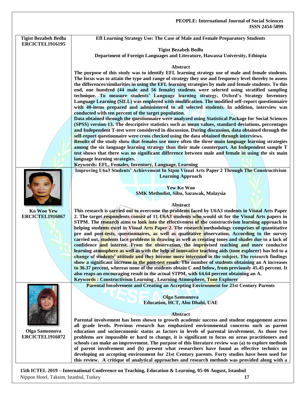| <b>Tigist Bezabeh Bedlu</b> | Efl Learning Strategy Use: The Case of Male and Female Preparatory Students                                                                                                                             |
|-----------------------------|---------------------------------------------------------------------------------------------------------------------------------------------------------------------------------------------------------|
| <b>ERCICTEL1916195</b>      |                                                                                                                                                                                                         |
|                             | <b>Tigist Bezabeh Bedlu</b>                                                                                                                                                                             |
|                             | Department of Foreign Languages and Literature, Hawassa University, Ethiopia                                                                                                                            |
|                             | Abstract                                                                                                                                                                                                |
|                             | The purpose of this study was to identify EFL learning strategy use of male and female students.                                                                                                        |
|                             | The focus was to attain the type and range of strategy they use and frequency level thereby to assess                                                                                                   |
|                             | the differences/similarities in using the EFL learning strategies by male and female students. To this                                                                                                  |
|                             | end, one hundred (44 male and 56 female) students were selected using stratified sampling                                                                                                               |
|                             | technique. To measure students' Language learning strategy, Oxford's Strategy Inventory                                                                                                                 |
|                             | Language Learning (SILL) was employed with modification. The modified self-report questionnaire<br>with 40-items prepared and administered to all selected students. In addition, interview was         |
|                             | conducted with ten percent of the target population.                                                                                                                                                    |
|                             | Data obtained through the questionnaire were analyzed using Statistical Package for Social Sciences                                                                                                     |
|                             | (SPSS) version-13. The descriptive statistics such as mean values, standard deviations, percentages                                                                                                     |
|                             | and Independent T-test were considered in discussion. During discussion, data obtained through the                                                                                                      |
|                             | self-report questionnaire were cross checked using the data obtained through interviews.                                                                                                                |
|                             | Results of the study show that females use more often the three main language learning strategies                                                                                                       |
|                             | among the six language learning strategy than their male counterpart. An Independent sample T<br>test shows that there was no significant difference between male and female in using the six main      |
|                             | language learning strategies.                                                                                                                                                                           |
|                             | Keywords: EFL, Females, Inventory, Language, Learning                                                                                                                                                   |
|                             | Improving U6a3 Students' Achievement In Stpm Visual Arts Paper 2 Through The Constructivism                                                                                                             |
|                             | <b>Learning Approach</b>                                                                                                                                                                                |
|                             |                                                                                                                                                                                                         |
|                             | Yew Ko Woo                                                                                                                                                                                              |
|                             | <b>SMK Methodist, Sibu, Sarawak, Malaysia</b>                                                                                                                                                           |
|                             | <b>Abstract</b>                                                                                                                                                                                         |
| <b>Ko Woo Yew</b>           | This research is carried out to overcome the problems faced by U6A3 students in Visual Arts Paper                                                                                                       |
| <b>ERCICTEL1916067</b>      | 2. The target respondents consist of 11 U6A3 students who would sit for the Visual Arts papers in                                                                                                       |
|                             | STPM. The research aims to look into the effectiveness of the constructivism learning approach in                                                                                                       |
|                             | helping students excel in Visual Arts Paper 2. The research methodology comprises of quantitative                                                                                                       |
|                             | pre and post-tests, questionnaires, as well as qualitative observation. According to the survey<br>carried out, students face problems in drawing as well as creating tones and shades due to a lack of |
|                             | confidence and interest. From the observation, the improvised teaching and more conducive                                                                                                               |
|                             | learning atmosphere as well as with the help of innovative teaching aids (tone explorer) has led to a                                                                                                   |
|                             | change of students' attitude and they become more interested in the subject. The research findings                                                                                                      |
|                             | show a significant increase in the post-test result. The number of students obtaining an A increases                                                                                                    |
|                             | to 36.37 percent, whereas none of the students obtain C and below, from previously 45.45 percent. It                                                                                                    |
|                             | also reaps an encouraging result in the actual STPM, with 64.64 percent obtaining an A.                                                                                                                 |
|                             | Keywords: Constructivism Learning, Learning Atmosphere, Tone Explorer<br><b>Parental Involvement and Creating an Accepting Environment for 21st Century Parents</b>                                     |
|                             |                                                                                                                                                                                                         |
|                             | <b>Olga Samsonova</b>                                                                                                                                                                                   |
|                             | <b>Education, HCT, Abu Dhabi, UAE</b>                                                                                                                                                                   |
|                             |                                                                                                                                                                                                         |
|                             | <b>Abstract</b>                                                                                                                                                                                         |
|                             | Parental involvement has been shown to growth academic success and student engagement across<br>all grade levels. Previous research has emphasized environmental concerns such as parent                |
| <b>Olga Samsonova</b>       | education and socioeconomic status as factors in levels of parental involvement. As those two                                                                                                           |
| <b>ERCICTEL1916072</b>      | problems are impossible or hard to change, it is significant to focus on areas practitioners and                                                                                                        |
|                             | schools can make an improvement. The purpose of this literature review was (a) to explore methods                                                                                                       |
|                             | of parent involvement and (b) present what researchers have found as effective technics on                                                                                                              |
|                             | developing an accepting environment for 21st Century parents. Forty studies have been used for                                                                                                          |
|                             | this review. A critique of analytical approaches and research methods was provided along with a                                                                                                         |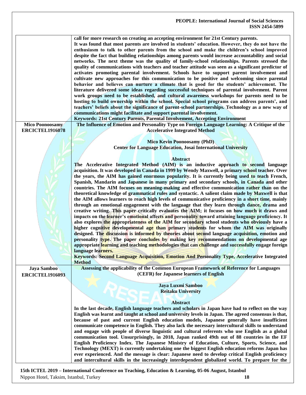|                        | call for more research on creating an accepting environment for 21st Century parents.<br>It was found that most parents are involved in students' education. However, they do not have the<br>enthusiasm to talk to other parents from the school and make the children's school improved<br>despite the fact that building relationships among parents would increase accountability and social<br>networks. The next theme was the quality of family-school relationships. Parents stressed the<br>quality of communications with teachers and teacher attitude was seen as a significant predictor of<br>activates promoting parental involvement. Schools have to support parent involvement and<br>cultivate new approaches for this communication to be positive and welcoming since parental<br>behavior and believes can nurture a climate that is good for the students' achievement. The<br>literature delivered some ideas regarding successful techniques of parental involvement. Parent<br>work groups need to be established, and cultural awareness workshops for parents need to be<br>hosting to build ownership within the school. Special school programs can address parents', and<br>teachers' beliefs about the significance of parent-school partnerships. Technology as a new way of<br>communications might facilitate and support parental involvement.<br>Keywords: 21st Century Parents, Parental Involvement, Accepting Environment |
|------------------------|-------------------------------------------------------------------------------------------------------------------------------------------------------------------------------------------------------------------------------------------------------------------------------------------------------------------------------------------------------------------------------------------------------------------------------------------------------------------------------------------------------------------------------------------------------------------------------------------------------------------------------------------------------------------------------------------------------------------------------------------------------------------------------------------------------------------------------------------------------------------------------------------------------------------------------------------------------------------------------------------------------------------------------------------------------------------------------------------------------------------------------------------------------------------------------------------------------------------------------------------------------------------------------------------------------------------------------------------------------------------------------------------------------------------------------------------------------------------|
| <b>Mico Poonoosamy</b> | The Influence of Emotion and Personality Type on Foreign Language Learning: A Critique of the                                                                                                                                                                                                                                                                                                                                                                                                                                                                                                                                                                                                                                                                                                                                                                                                                                                                                                                                                                                                                                                                                                                                                                                                                                                                                                                                                                     |
| <b>ERCICTEL1916078</b> | <b>Accelerative Integrated Method</b>                                                                                                                                                                                                                                                                                                                                                                                                                                                                                                                                                                                                                                                                                                                                                                                                                                                                                                                                                                                                                                                                                                                                                                                                                                                                                                                                                                                                                             |
|                        |                                                                                                                                                                                                                                                                                                                                                                                                                                                                                                                                                                                                                                                                                                                                                                                                                                                                                                                                                                                                                                                                                                                                                                                                                                                                                                                                                                                                                                                                   |
|                        |                                                                                                                                                                                                                                                                                                                                                                                                                                                                                                                                                                                                                                                                                                                                                                                                                                                                                                                                                                                                                                                                                                                                                                                                                                                                                                                                                                                                                                                                   |
|                        | <b>Mico Kevin Poonoosamy (PhD)</b>                                                                                                                                                                                                                                                                                                                                                                                                                                                                                                                                                                                                                                                                                                                                                                                                                                                                                                                                                                                                                                                                                                                                                                                                                                                                                                                                                                                                                                |
|                        | <b>Center for Language Education, Josai International University</b>                                                                                                                                                                                                                                                                                                                                                                                                                                                                                                                                                                                                                                                                                                                                                                                                                                                                                                                                                                                                                                                                                                                                                                                                                                                                                                                                                                                              |
|                        |                                                                                                                                                                                                                                                                                                                                                                                                                                                                                                                                                                                                                                                                                                                                                                                                                                                                                                                                                                                                                                                                                                                                                                                                                                                                                                                                                                                                                                                                   |
|                        |                                                                                                                                                                                                                                                                                                                                                                                                                                                                                                                                                                                                                                                                                                                                                                                                                                                                                                                                                                                                                                                                                                                                                                                                                                                                                                                                                                                                                                                                   |
|                        | <b>Abstract</b>                                                                                                                                                                                                                                                                                                                                                                                                                                                                                                                                                                                                                                                                                                                                                                                                                                                                                                                                                                                                                                                                                                                                                                                                                                                                                                                                                                                                                                                   |
|                        | The Accelerative Integrated Method (AIM) is an inductive approach to second language                                                                                                                                                                                                                                                                                                                                                                                                                                                                                                                                                                                                                                                                                                                                                                                                                                                                                                                                                                                                                                                                                                                                                                                                                                                                                                                                                                              |
|                        | acquisition. It was developed in Canada in 1999 by Wendy Maxwell, a primary school teacher. Over                                                                                                                                                                                                                                                                                                                                                                                                                                                                                                                                                                                                                                                                                                                                                                                                                                                                                                                                                                                                                                                                                                                                                                                                                                                                                                                                                                  |
|                        | the years, the AIM has gained enormous popularity. It is currently being used to teach French,                                                                                                                                                                                                                                                                                                                                                                                                                                                                                                                                                                                                                                                                                                                                                                                                                                                                                                                                                                                                                                                                                                                                                                                                                                                                                                                                                                    |
|                        |                                                                                                                                                                                                                                                                                                                                                                                                                                                                                                                                                                                                                                                                                                                                                                                                                                                                                                                                                                                                                                                                                                                                                                                                                                                                                                                                                                                                                                                                   |
|                        | Spanish, Mandarin and Japanese in many primary and secondary schools, in Canada and other                                                                                                                                                                                                                                                                                                                                                                                                                                                                                                                                                                                                                                                                                                                                                                                                                                                                                                                                                                                                                                                                                                                                                                                                                                                                                                                                                                         |
|                        | countries. The AIM focuses on meaning-making and effective communication rather than on the                                                                                                                                                                                                                                                                                                                                                                                                                                                                                                                                                                                                                                                                                                                                                                                                                                                                                                                                                                                                                                                                                                                                                                                                                                                                                                                                                                       |
|                        | theoretical knowledge of grammatical rules and syntactic. A salient claim made by Maxwell is that                                                                                                                                                                                                                                                                                                                                                                                                                                                                                                                                                                                                                                                                                                                                                                                                                                                                                                                                                                                                                                                                                                                                                                                                                                                                                                                                                                 |
|                        | the AIM allows learners to reach high levels of communicative proficiency in a short time, mainly                                                                                                                                                                                                                                                                                                                                                                                                                                                                                                                                                                                                                                                                                                                                                                                                                                                                                                                                                                                                                                                                                                                                                                                                                                                                                                                                                                 |
|                        | through an emotional engagement with the language that they learn through dance, drama and                                                                                                                                                                                                                                                                                                                                                                                                                                                                                                                                                                                                                                                                                                                                                                                                                                                                                                                                                                                                                                                                                                                                                                                                                                                                                                                                                                        |
|                        |                                                                                                                                                                                                                                                                                                                                                                                                                                                                                                                                                                                                                                                                                                                                                                                                                                                                                                                                                                                                                                                                                                                                                                                                                                                                                                                                                                                                                                                                   |
|                        | creative writing. This paper critically evaluates the AIM; it focuses on how much it draws and                                                                                                                                                                                                                                                                                                                                                                                                                                                                                                                                                                                                                                                                                                                                                                                                                                                                                                                                                                                                                                                                                                                                                                                                                                                                                                                                                                    |
|                        | impacts on the learner's emotional affects and personality toward attaining language proficiency. It                                                                                                                                                                                                                                                                                                                                                                                                                                                                                                                                                                                                                                                                                                                                                                                                                                                                                                                                                                                                                                                                                                                                                                                                                                                                                                                                                              |
|                        | also explores the appropriateness of the AIM for secondary school students who obviously have a                                                                                                                                                                                                                                                                                                                                                                                                                                                                                                                                                                                                                                                                                                                                                                                                                                                                                                                                                                                                                                                                                                                                                                                                                                                                                                                                                                   |
|                        | higher cognitive developmental age than primary students for whom the AIM was originally                                                                                                                                                                                                                                                                                                                                                                                                                                                                                                                                                                                                                                                                                                                                                                                                                                                                                                                                                                                                                                                                                                                                                                                                                                                                                                                                                                          |
|                        | designed. The discussion is informed by theories about second language acquisition, emotion and                                                                                                                                                                                                                                                                                                                                                                                                                                                                                                                                                                                                                                                                                                                                                                                                                                                                                                                                                                                                                                                                                                                                                                                                                                                                                                                                                                   |
|                        |                                                                                                                                                                                                                                                                                                                                                                                                                                                                                                                                                                                                                                                                                                                                                                                                                                                                                                                                                                                                                                                                                                                                                                                                                                                                                                                                                                                                                                                                   |
|                        | personality type. The paper concludes by making key recommendations on developmental age                                                                                                                                                                                                                                                                                                                                                                                                                                                                                                                                                                                                                                                                                                                                                                                                                                                                                                                                                                                                                                                                                                                                                                                                                                                                                                                                                                          |
|                        | appropriate learning and teaching methodologies that can challenge and successfully engage foreign                                                                                                                                                                                                                                                                                                                                                                                                                                                                                                                                                                                                                                                                                                                                                                                                                                                                                                                                                                                                                                                                                                                                                                                                                                                                                                                                                                |
|                        | language learners.                                                                                                                                                                                                                                                                                                                                                                                                                                                                                                                                                                                                                                                                                                                                                                                                                                                                                                                                                                                                                                                                                                                                                                                                                                                                                                                                                                                                                                                |
|                        |                                                                                                                                                                                                                                                                                                                                                                                                                                                                                                                                                                                                                                                                                                                                                                                                                                                                                                                                                                                                                                                                                                                                                                                                                                                                                                                                                                                                                                                                   |
|                        | Keywords: Second Language Acquisition, Emotion And Personality Type, Accelerative Integrated                                                                                                                                                                                                                                                                                                                                                                                                                                                                                                                                                                                                                                                                                                                                                                                                                                                                                                                                                                                                                                                                                                                                                                                                                                                                                                                                                                      |
|                        | <b>Method</b>                                                                                                                                                                                                                                                                                                                                                                                                                                                                                                                                                                                                                                                                                                                                                                                                                                                                                                                                                                                                                                                                                                                                                                                                                                                                                                                                                                                                                                                     |
| Jaya Samboo            | Assessing the applicability of the Common European Framework of Reference for Languages                                                                                                                                                                                                                                                                                                                                                                                                                                                                                                                                                                                                                                                                                                                                                                                                                                                                                                                                                                                                                                                                                                                                                                                                                                                                                                                                                                           |
| <b>ERCICTEL1916093</b> | (CEFR) for Japanese learners of English                                                                                                                                                                                                                                                                                                                                                                                                                                                                                                                                                                                                                                                                                                                                                                                                                                                                                                                                                                                                                                                                                                                                                                                                                                                                                                                                                                                                                           |
|                        |                                                                                                                                                                                                                                                                                                                                                                                                                                                                                                                                                                                                                                                                                                                                                                                                                                                                                                                                                                                                                                                                                                                                                                                                                                                                                                                                                                                                                                                                   |
|                        | Jaya Luxmi Samboo                                                                                                                                                                                                                                                                                                                                                                                                                                                                                                                                                                                                                                                                                                                                                                                                                                                                                                                                                                                                                                                                                                                                                                                                                                                                                                                                                                                                                                                 |
|                        | <b>Reitaku University</b>                                                                                                                                                                                                                                                                                                                                                                                                                                                                                                                                                                                                                                                                                                                                                                                                                                                                                                                                                                                                                                                                                                                                                                                                                                                                                                                                                                                                                                         |
|                        |                                                                                                                                                                                                                                                                                                                                                                                                                                                                                                                                                                                                                                                                                                                                                                                                                                                                                                                                                                                                                                                                                                                                                                                                                                                                                                                                                                                                                                                                   |
|                        |                                                                                                                                                                                                                                                                                                                                                                                                                                                                                                                                                                                                                                                                                                                                                                                                                                                                                                                                                                                                                                                                                                                                                                                                                                                                                                                                                                                                                                                                   |
|                        | <b>Abstract</b>                                                                                                                                                                                                                                                                                                                                                                                                                                                                                                                                                                                                                                                                                                                                                                                                                                                                                                                                                                                                                                                                                                                                                                                                                                                                                                                                                                                                                                                   |
|                        | In the last decade, English language teachers and scholars in Japan have had to reflect on the way                                                                                                                                                                                                                                                                                                                                                                                                                                                                                                                                                                                                                                                                                                                                                                                                                                                                                                                                                                                                                                                                                                                                                                                                                                                                                                                                                                |
|                        | English was learnt and taught at school and university levels in Japan. The agreed consensus is that,                                                                                                                                                                                                                                                                                                                                                                                                                                                                                                                                                                                                                                                                                                                                                                                                                                                                                                                                                                                                                                                                                                                                                                                                                                                                                                                                                             |
|                        | because of past and current English education models, Japanese generally have insufficient                                                                                                                                                                                                                                                                                                                                                                                                                                                                                                                                                                                                                                                                                                                                                                                                                                                                                                                                                                                                                                                                                                                                                                                                                                                                                                                                                                        |
|                        |                                                                                                                                                                                                                                                                                                                                                                                                                                                                                                                                                                                                                                                                                                                                                                                                                                                                                                                                                                                                                                                                                                                                                                                                                                                                                                                                                                                                                                                                   |
|                        | communicate competence in English. They also lack the necessary intercultural skills to understand                                                                                                                                                                                                                                                                                                                                                                                                                                                                                                                                                                                                                                                                                                                                                                                                                                                                                                                                                                                                                                                                                                                                                                                                                                                                                                                                                                |
|                        | and engage with people of diverse linguistic and cultural referents who use English as a global                                                                                                                                                                                                                                                                                                                                                                                                                                                                                                                                                                                                                                                                                                                                                                                                                                                                                                                                                                                                                                                                                                                                                                                                                                                                                                                                                                   |
|                        | communication tool. Unsurprisingly, in 2018, Japan ranked 49th out of 88 countries in the EF                                                                                                                                                                                                                                                                                                                                                                                                                                                                                                                                                                                                                                                                                                                                                                                                                                                                                                                                                                                                                                                                                                                                                                                                                                                                                                                                                                      |
|                        | English Proficiency Index. The Japanese Ministry of Education, Culture, Sports, Science, and                                                                                                                                                                                                                                                                                                                                                                                                                                                                                                                                                                                                                                                                                                                                                                                                                                                                                                                                                                                                                                                                                                                                                                                                                                                                                                                                                                      |
|                        |                                                                                                                                                                                                                                                                                                                                                                                                                                                                                                                                                                                                                                                                                                                                                                                                                                                                                                                                                                                                                                                                                                                                                                                                                                                                                                                                                                                                                                                                   |
|                        | Technology (MEXT) is currently undertaking one the biggest English education reforms Japan has                                                                                                                                                                                                                                                                                                                                                                                                                                                                                                                                                                                                                                                                                                                                                                                                                                                                                                                                                                                                                                                                                                                                                                                                                                                                                                                                                                    |
|                        | ever experienced. And the message is clear: Japanese need to develop critical English proficiency                                                                                                                                                                                                                                                                                                                                                                                                                                                                                                                                                                                                                                                                                                                                                                                                                                                                                                                                                                                                                                                                                                                                                                                                                                                                                                                                                                 |
|                        | and intercultural skills in the increasingly interdependent globalized world. To prepare for the                                                                                                                                                                                                                                                                                                                                                                                                                                                                                                                                                                                                                                                                                                                                                                                                                                                                                                                                                                                                                                                                                                                                                                                                                                                                                                                                                                  |
|                        |                                                                                                                                                                                                                                                                                                                                                                                                                                                                                                                                                                                                                                                                                                                                                                                                                                                                                                                                                                                                                                                                                                                                                                                                                                                                                                                                                                                                                                                                   |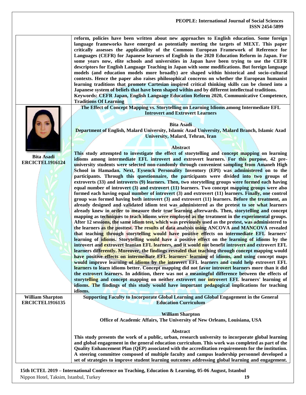|                                                   | reform, policies have been written about new approaches to English education. Some foreign<br>language frameworks have emerged as potentially meeting the targets of MEXT. This paper<br>critically assesses the applicability of the Common European Framework of Reference for<br>Languages (CEFR) for Japanese learners of English in the 2020 Education Reform in Japan. For<br>some years now, elite schools and universities in Japan have been trying to use the CEFR<br>descriptors for English Language Teaching in Japan with some modifications. But foreign language<br>models (and education models more broadly) are shaped within historical and socio-cultural<br>contexts. Hence the paper also raises philosophical concerns on whether the European humanist<br>learning traditions that promote Cartesian inspired critical thinking skills can be cloned into a<br>Japanese system of beliefs that have been shaped within and by different intellectual traditions.<br>Keywords: CEFR Japan, English Language Education Reform 2020, Communicative Competence,<br><b>Traditions Of Learning</b>                                                                                                                                                                                                                                                                                                                                                                                                                                                                                                                                                                                                                                                                                                                                                                                                                                                                                                                                                                                                                                                                                                                                                                                                                                                                                                                                                                                                                                                                                                                                                                                                                                                        |
|---------------------------------------------------|------------------------------------------------------------------------------------------------------------------------------------------------------------------------------------------------------------------------------------------------------------------------------------------------------------------------------------------------------------------------------------------------------------------------------------------------------------------------------------------------------------------------------------------------------------------------------------------------------------------------------------------------------------------------------------------------------------------------------------------------------------------------------------------------------------------------------------------------------------------------------------------------------------------------------------------------------------------------------------------------------------------------------------------------------------------------------------------------------------------------------------------------------------------------------------------------------------------------------------------------------------------------------------------------------------------------------------------------------------------------------------------------------------------------------------------------------------------------------------------------------------------------------------------------------------------------------------------------------------------------------------------------------------------------------------------------------------------------------------------------------------------------------------------------------------------------------------------------------------------------------------------------------------------------------------------------------------------------------------------------------------------------------------------------------------------------------------------------------------------------------------------------------------------------------------------------------------------------------------------------------------------------------------------------------------------------------------------------------------------------------------------------------------------------------------------------------------------------------------------------------------------------------------------------------------------------------------------------------------------------------------------------------------------------------------------------------------------------------------------------------------------------------|
| <b>Bita Asadi</b><br><b>ERCICTEL1916124</b>       | The Effect of Concept Mapping vs. Storytelling on Learning Idioms among Intermediate EFL<br><b>Introvert and Extrovert Learners</b><br><b>Bita Asadi</b><br>Department of English, Malard University, Islamic Azad University, Malard Branch, Islamic Azad<br>University, Malard, Tehran, Iran<br><b>Abstract</b><br>This study attempted to investigate the effect of storytelling and concept mapping on learning<br>idioms among intermediate EFL introvert and extrovert learners. For this purpose, 42 pre-<br>university students were selected non-randomly through convenient sampling from Amaneh High<br>School in Hamadan. Next, Eysenck Personality Inventory (EPI) was administered on to the<br>participants. Through this questionnaire, the participants were divided into two groups of<br>extroverts (33) and introverts (9) learners. Then, two storytelling groups were formed each having<br>equal number of introvert $(3)$ and extrovert $(11)$ learners. Two concept mapping groups were also<br>formed each having equal number of introvert (3) and extrovert (11) learners. Finally, one control<br>group was formed having both introvert (3) and extrovert (11) learners. Before the treatment, an<br>already designed and validated idiom test was administered as the pretest to see what learners<br>already knew in order to measure their true learning afterwards. Then, storytelling and concept<br>mapping as techniques to teach idioms were employed as the treatment in the experimental groups.<br>After 12 sessions, the same idiom test, which was previously used as the pretest, was administered to<br>the learners as the posttest. The results of data analysis using ANCOVA and MANCOVA revealed<br>that teaching through storytelling would have positive effects on intermediate EFL learners'<br>learning of idioms. Storytelling would have a positive effect on the learning of idioms by the<br>introvert and extrovert Iranian EFL learners, and it would not benefit introvert and extrovert EFL<br>learners differently. Moreover, the findings revealed that teaching through concept mapping would<br>have positive effects on intermediate EFL learners' learning of idioms, and using concept maps<br>would improve learning of idioms by the introvert EFL learners and could help extrovert EFL<br>learners to learn idioms better. Concept mapping did not favor introvert learners more than it did<br>the extrovert learners. In addition, there was not a meaningful difference between the effects of<br>storytelling and concept mapping on neither extrovert nor introvert EFL learners' learning of<br>idioms. The findings of this study would have important pedagogical implications for teaching |
| <b>William Sharpton</b><br><b>ERCICTEL1916135</b> | idioms.<br>Supporting Faculty to Incorporate Global Learning and Global Engagement in the General<br><b>Education Curriculum</b>                                                                                                                                                                                                                                                                                                                                                                                                                                                                                                                                                                                                                                                                                                                                                                                                                                                                                                                                                                                                                                                                                                                                                                                                                                                                                                                                                                                                                                                                                                                                                                                                                                                                                                                                                                                                                                                                                                                                                                                                                                                                                                                                                                                                                                                                                                                                                                                                                                                                                                                                                                                                                                             |
|                                                   | <b>William Sharpton</b>                                                                                                                                                                                                                                                                                                                                                                                                                                                                                                                                                                                                                                                                                                                                                                                                                                                                                                                                                                                                                                                                                                                                                                                                                                                                                                                                                                                                                                                                                                                                                                                                                                                                                                                                                                                                                                                                                                                                                                                                                                                                                                                                                                                                                                                                                                                                                                                                                                                                                                                                                                                                                                                                                                                                                      |
|                                                   | Office of Academic Affairs, The University of New Orleans, Louisiana, USA                                                                                                                                                                                                                                                                                                                                                                                                                                                                                                                                                                                                                                                                                                                                                                                                                                                                                                                                                                                                                                                                                                                                                                                                                                                                                                                                                                                                                                                                                                                                                                                                                                                                                                                                                                                                                                                                                                                                                                                                                                                                                                                                                                                                                                                                                                                                                                                                                                                                                                                                                                                                                                                                                                    |
|                                                   | Abstract<br>This study presents the work of a public, urban, research university to incorporate global learning<br>and global engagement in the general education curriculum. This work was completed as part of the<br>Quality Enhancement Plan (QEP) associated with the accreditation requirements for the institution.<br>A steering committee composed of multiple faculty and campus leadership personnel developed a<br>set of strategies to improve student learning outcomes addressing global learning and engagement.                                                                                                                                                                                                                                                                                                                                                                                                                                                                                                                                                                                                                                                                                                                                                                                                                                                                                                                                                                                                                                                                                                                                                                                                                                                                                                                                                                                                                                                                                                                                                                                                                                                                                                                                                                                                                                                                                                                                                                                                                                                                                                                                                                                                                                             |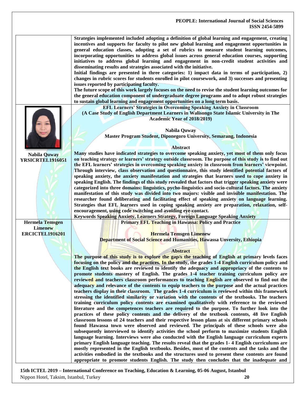|                                                                    | Strategies implemented included adopting a definition of global learning and engagement, creating<br>incentives and supports for faculty to pilot new global learning and engagement opportunities in<br>general education classes, adopting a set of rubrics to measure student learning outcomes,<br>incorporating opportunities to address global issues across general education courses, supporting<br>initiatives to address global learning and engagement in non-credit student activities and<br>disseminating results and strategies associated with the initiative.<br>Initial findings are presented in three categories: 1) impact data in terms of participation, 2)<br>changes in rubric scores for students enrolled in pilot coursework, and 3) successes and presenting<br>issues reported by participating faculty.<br>The future scope of this work largely focuses on the need to revise the student learning outcomes for<br>the general education component of undergraduate degree programs and to adopt robust strategies<br>to sustain global learning and engagement opportunities on a long term basis.                                                                                                                                                                                                                                                                                                                                                                                                                                                                                                                                                                                                                                                                                                                                                                                                                                                                                                                                                                                                           |
|--------------------------------------------------------------------|-----------------------------------------------------------------------------------------------------------------------------------------------------------------------------------------------------------------------------------------------------------------------------------------------------------------------------------------------------------------------------------------------------------------------------------------------------------------------------------------------------------------------------------------------------------------------------------------------------------------------------------------------------------------------------------------------------------------------------------------------------------------------------------------------------------------------------------------------------------------------------------------------------------------------------------------------------------------------------------------------------------------------------------------------------------------------------------------------------------------------------------------------------------------------------------------------------------------------------------------------------------------------------------------------------------------------------------------------------------------------------------------------------------------------------------------------------------------------------------------------------------------------------------------------------------------------------------------------------------------------------------------------------------------------------------------------------------------------------------------------------------------------------------------------------------------------------------------------------------------------------------------------------------------------------------------------------------------------------------------------------------------------------------------------------------------------------------------------------------------------------------------------|
| Nabila Quway<br>YRSICRTEL1916051                                   | <b>EFL Learners' Strategies in Overcoming Speaking Anxiety in Classroom</b><br>(A Case Study of English Department Learners in Walisongo State Islamic University in The<br>Academic Year of 2018/2019)<br>Nabila Quway<br>Master Program Student, Diponegoro University, Semarang, Indonesia<br><b>Abstract</b><br>Many studies have indicated strategies to overcome speaking anxiety, yet most of them only focus<br>on teaching strategy or learners' strategy outside classroom. The purpose of this study is to find out                                                                                                                                                                                                                                                                                                                                                                                                                                                                                                                                                                                                                                                                                                                                                                                                                                                                                                                                                                                                                                                                                                                                                                                                                                                                                                                                                                                                                                                                                                                                                                                                                |
|                                                                    | the EFL learners' strategies in overcoming speaking anxiety in classroom from learners' viewpoint.<br>Through interview, class observation and questionnaire, this study identified potential factors of<br>speaking anxiety, the anxiety manifestation and strategies that learners used to cope anxiety in<br>speaking English. The findings of this study revealed that factors that trigger speaking anxiety were<br>categorized into three domains: linguistics, pycho-linguistics and socio-cultural factors. The anxiety<br>manifestation of this study was divided into two majors: visible and invisible manifestation. The<br>researcher found deliberating and facilitating effect of speaking anxiety on language learning.<br>Strategies that EFL learners used in coping speaking anxiety are preparation, relaxation, self-<br>encouragement, using code switching and avoiding eye-contact.<br>Keywords Speaking Anxiety, Learners Strategy, Foreign Language Speaking Anxiety                                                                                                                                                                                                                                                                                                                                                                                                                                                                                                                                                                                                                                                                                                                                                                                                                                                                                                                                                                                                                                                                                                                                                |
| <b>Hermela Temsgen</b><br><b>Limenew</b><br><b>ERCICTEL1916201</b> | <b>Primary EFL Teaching in Hawassa: Policy and Practice</b><br><b>Hermela Temsgen Limenew</b><br>Department of Social Science and Humanities, Hawassa Unversity, Ethiopia<br><b>Abstract</b><br>The purpose of this study is to explore the gap/s the teaching of English at primary levels faces<br>focusing on the policy and the practices. In the study, the grades 1-4 English curriculum policy and<br>the English text books are reviewed to identify the adequacy and appropriacy of the contents to<br>promote students mastery of English. The grades 1-4 teacher training curriculum policy are<br>reviewed and teachers classroom performances to teaching English are observed to find out the<br>adequacy and relevance of the contents to equip teachers to the purpose and the actual practices<br>teachers display in their classroom. The grades 1-4 curriculum is reviewed within this framework<br>stressing the identified similarity or variation with the contents of the textbooks. The teachers<br>training curriculum policy contents are examined qualitatively with reference to the reviewed<br>literature and the competences teachers are required to the purpose. To further look into the<br>practices of these policy contents and the delivery of the textbook contents, 48 live English<br>classroom lessons of 24 teachers and their respective lesson plans at six different primary schools<br>found Hawassa town were observed and reviewed. The principals of these schools were also<br>subsequently interviewed to identify activities the school perform to maximize students English<br>language learning. Interviews were also conducted with the English language curriculum experts<br>primary English language teaching. The results reveal that the grades 1-4 English curriculums are<br>mostly represented in the English textbooks. Besides, most of the contents and the tasks and the<br>activities embodied in the textbooks and the structures used to present these contents are found<br>appropriate to promote students English. The study then concludes that the inadequate and |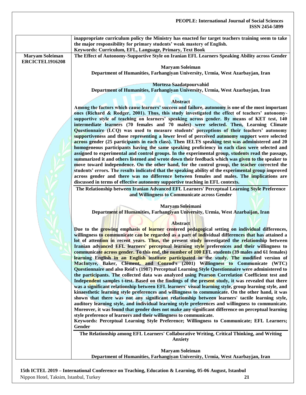|                                                  | <b>PEOPLE: International Journal of Social Sciences</b><br><b>ISSN 2454-5899</b>                                                                                                                                                                                                                                                                                                                                                                                                          |
|--------------------------------------------------|-------------------------------------------------------------------------------------------------------------------------------------------------------------------------------------------------------------------------------------------------------------------------------------------------------------------------------------------------------------------------------------------------------------------------------------------------------------------------------------------|
|                                                  | inappropriate curriculum policy the Ministry has enacted for target teachers training seem to take<br>the major responsibility for primary students' weak mastery of English.<br>Keywords: Curriculum, EFL, Language, Primary, Text Book                                                                                                                                                                                                                                                  |
| <b>Maryam Soleiman</b><br><b>ERCICTEL1916208</b> | The Effect of Autonomy-Supportive Style on Iranian EFL Learners Speaking Ability across Gender                                                                                                                                                                                                                                                                                                                                                                                            |
|                                                  | <b>Maryam Soleiman</b><br>Department of Humanities, Farhangiyan University, Urmia, West Azarbayjan, Iran                                                                                                                                                                                                                                                                                                                                                                                  |
|                                                  | Morteza Saadatpourvahid<br>Department of Humanities, Farhangiyan University, Urmia, West Azarbayjan, Iran                                                                                                                                                                                                                                                                                                                                                                                 |
|                                                  | <b>Abstract</b>                                                                                                                                                                                                                                                                                                                                                                                                                                                                           |
|                                                  | Among the factors which cause learners' success and failure, autonomy is one of the most important<br>ones (Richard & Rodger, 2001). Thus, this study investigated the effect of teachers' autonomy-<br>supportive style of teaching on learners' speaking across gender. By means of KET test, 140<br>intermediate learners (70 females and 70 males) were selected. Then, Learning Climate<br>Questionnaire (LCQ) was used to measure students' perceptions of their teachers' autonomy |
|                                                  | supportiveness and those representing a lower level of perceived autonomy support were selected<br>across gender (25 participants in each class). Then IELTS speaking test was administered and 20<br>homogeneous participants having the same speaking proficiency in each class were selected and<br>assigned to experimental and control groups. In the experimental group, students read the passage,                                                                                 |
|                                                  | summarized it and others listened and wrote down their feedback which was given to the speaker to<br>move toward independence. On the other hand, for the control group, the teacher corrected the<br>students' errors. The results indicated that the speaking ability of the experimental group improved<br>across gender and there was no difference between females and males. The implications are<br>discussed in terms of effective autonomy supportive teaching in EFL contexts.  |
|                                                  | The Relationship between Iranian Advanced EFL Learners' Perceptual Learning Style Preference<br>and Willingness to Communicate across Gender                                                                                                                                                                                                                                                                                                                                              |
|                                                  | Maryam Soleimani<br>Department of Humanities, Farhangiyan University, Urmia, West Azarbaijan, Iran                                                                                                                                                                                                                                                                                                                                                                                        |
|                                                  | <b>Abstract</b>                                                                                                                                                                                                                                                                                                                                                                                                                                                                           |
|                                                  | Due to the growing emphasis of learner centered pedagogical setting on individual differences,<br>willingness to communicate can be regarded as a part of individual differences that has attained a<br>lot of attention in recent years. Thus, the present study investigated the relationship between                                                                                                                                                                                   |
|                                                  | Iranian advanced EFL learners' perceptual learning style preferences and their willingness to<br>communicate across gender. To this end, the number of 100 EFL students (39 males and 61 females)                                                                                                                                                                                                                                                                                         |
|                                                  | learning English in an English institute participated in the study. The modified version of<br>MacIntyre, Baker, Clément, and Conrod's (2001) Willingness to Communicate (WTC)<br>Questionnaire and also Reid's (1987) Perceptual Learning Style Questionnaire were administered to<br>the participants. The collected data was analyzed using Pearson Correlation Coefficient test and                                                                                                   |
|                                                  | Independent samples t-test. Based on the findings of the present study, it was revealed that there<br>was a significant relationship between EFL learners' visual learning style, group learning style, and<br>kinaesthetic learning style preferences and willingness to communicate. On the other hand, it was                                                                                                                                                                          |
|                                                  | shown that there was not any significant relationship between learners' tactile learning style,<br>auditory learning style, and individual learning style preferences and willingness to communicate.<br>Moreover, it was found that gender does not make any significant difference on perceptual learning                                                                                                                                                                               |
|                                                  | style preference of learners and their willingness to communicate.<br>Keywords: Perceptual Learning Style Preference; Willingness to Communicate; EFL Learners;                                                                                                                                                                                                                                                                                                                           |
|                                                  | Gender<br>The Relationship among EFL Learners' Collaborative Writing, Critical Thinking, and Writing<br><b>Anxiety</b>                                                                                                                                                                                                                                                                                                                                                                    |
|                                                  | <b>Maryam Soleiman</b><br>Department of Humanities, Farhangiyan University, Urmia, West Azarbayjan, Iran                                                                                                                                                                                                                                                                                                                                                                                  |
|                                                  |                                                                                                                                                                                                                                                                                                                                                                                                                                                                                           |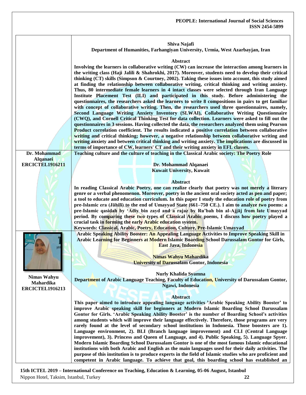|                        | Shiva Najafi<br>Department of Humanities, Farhangiyan University, Urmia, West Azarbayjan, Iran                                                                                                                                                                                                                                                                                                                                                                                                                                                                                                                                                                                                                                                                                                                                                                                                                                                                                                                                                                                                                                                                                                                                                           |
|------------------------|----------------------------------------------------------------------------------------------------------------------------------------------------------------------------------------------------------------------------------------------------------------------------------------------------------------------------------------------------------------------------------------------------------------------------------------------------------------------------------------------------------------------------------------------------------------------------------------------------------------------------------------------------------------------------------------------------------------------------------------------------------------------------------------------------------------------------------------------------------------------------------------------------------------------------------------------------------------------------------------------------------------------------------------------------------------------------------------------------------------------------------------------------------------------------------------------------------------------------------------------------------|
|                        | Abstract<br>Involving the learners in collaborative writing (CW) can increase the interaction among learners in<br>the writing class (Haji Jalili & Shahrokhi, 2017). Moreover, students need to develop their critical<br>thinking (CT) skills (Simpson & Courtney, 2002). Taking these issues into account, this study aimed<br>at finding the relationship between collaborative writing, critical thinking and writing anxiety.<br>Thus, 80 intermediate female learners in 4 intact classes were selected through Iran Language<br>Institute Placement Test (ILI) and participated in this study. Before administering the<br>questionnaires, the researchers asked the learners to write 8 compositions in pairs to get familiar<br>with concept of collaborative writing. Then, the researchers used three questionnaires, namely,<br>Second Language Writing Anxiety Inventory (SLWAI), Collaborative Writing Questionnaire<br>(CWQ), and Cornell Critical Thinking Test for data collection. Learners were asked to fill out the<br>questionnaires in 3 sessions. Having collected the data, the researchers analyzed them using Pearson<br>Product correlation coefficient. The results indicated a positive correlation between collaborative |
|                        | writing and critical thinking; however, a negative relationship between collaborative writing and<br>writing anxiety and between critical thinking and writing anxiety. The implications are discussed in<br>terms of importance of CW, learners' CT and their writing anxiety in EFL classes.                                                                                                                                                                                                                                                                                                                                                                                                                                                                                                                                                                                                                                                                                                                                                                                                                                                                                                                                                           |
|                        |                                                                                                                                                                                                                                                                                                                                                                                                                                                                                                                                                                                                                                                                                                                                                                                                                                                                                                                                                                                                                                                                                                                                                                                                                                                          |
| Dr. Mohammad           | Teaching culture and the culture of teaching in the Classical Arabic society: The Poetry Role                                                                                                                                                                                                                                                                                                                                                                                                                                                                                                                                                                                                                                                                                                                                                                                                                                                                                                                                                                                                                                                                                                                                                            |
| Alqanaei               |                                                                                                                                                                                                                                                                                                                                                                                                                                                                                                                                                                                                                                                                                                                                                                                                                                                                                                                                                                                                                                                                                                                                                                                                                                                          |
| <b>ERCICTEL1916211</b> | Dr. Mohammad Alqanaei                                                                                                                                                                                                                                                                                                                                                                                                                                                                                                                                                                                                                                                                                                                                                                                                                                                                                                                                                                                                                                                                                                                                                                                                                                    |
|                        | <b>Kuwait University, Kuwait</b>                                                                                                                                                                                                                                                                                                                                                                                                                                                                                                                                                                                                                                                                                                                                                                                                                                                                                                                                                                                                                                                                                                                                                                                                                         |
|                        |                                                                                                                                                                                                                                                                                                                                                                                                                                                                                                                                                                                                                                                                                                                                                                                                                                                                                                                                                                                                                                                                                                                                                                                                                                                          |
|                        | <b>Abstract</b>                                                                                                                                                                                                                                                                                                                                                                                                                                                                                                                                                                                                                                                                                                                                                                                                                                                                                                                                                                                                                                                                                                                                                                                                                                          |
|                        | In reading Classical Arabic Poetry, one can realize clearly that poetry was not merely a literary                                                                                                                                                                                                                                                                                                                                                                                                                                                                                                                                                                                                                                                                                                                                                                                                                                                                                                                                                                                                                                                                                                                                                        |
|                        | genre or a verbal phenomenon. Moreover, poetry in the ancient oral society acted as pen and paper;                                                                                                                                                                                                                                                                                                                                                                                                                                                                                                                                                                                                                                                                                                                                                                                                                                                                                                                                                                                                                                                                                                                                                       |
|                        | a tool to educate and education curriculum. In this paper I study the education role of poetry from                                                                                                                                                                                                                                                                                                                                                                                                                                                                                                                                                                                                                                                                                                                                                                                                                                                                                                                                                                                                                                                                                                                                                      |
|                        | pre-Islamic era (Jāhilī) to the end of Umayyad State (661-750 CE.). I aim to analyze two poems: a                                                                                                                                                                                                                                                                                                                                                                                                                                                                                                                                                                                                                                                                                                                                                                                                                                                                                                                                                                                                                                                                                                                                                        |
|                        | pre-Islamic qasidah by 'Adiy bin zayd and a rajaz by Ru'bah bin al-Ajjaj from late Umayyad                                                                                                                                                                                                                                                                                                                                                                                                                                                                                                                                                                                                                                                                                                                                                                                                                                                                                                                                                                                                                                                                                                                                                               |
|                        | period. By comparing these two types of Classical Arabic poems, I discuss how poetry played a                                                                                                                                                                                                                                                                                                                                                                                                                                                                                                                                                                                                                                                                                                                                                                                                                                                                                                                                                                                                                                                                                                                                                            |
|                        | crucial task in forming the early Arabic education system.                                                                                                                                                                                                                                                                                                                                                                                                                                                                                                                                                                                                                                                                                                                                                                                                                                                                                                                                                                                                                                                                                                                                                                                               |
|                        | Keywords: Classical, Arabic, Poetry, Education, Culture, Pre-Islamic Umayyad                                                                                                                                                                                                                                                                                                                                                                                                                                                                                                                                                                                                                                                                                                                                                                                                                                                                                                                                                                                                                                                                                                                                                                             |
|                        | Arabic Speaking Ability Booster: An Appealing Language Activities to Improve Speaking Skill in                                                                                                                                                                                                                                                                                                                                                                                                                                                                                                                                                                                                                                                                                                                                                                                                                                                                                                                                                                                                                                                                                                                                                           |
|                        | Arabic Learning for Beginners at Modern Islamic Boarding School Darussalam Gontor for Girls,<br>East Java, Indonesia                                                                                                                                                                                                                                                                                                                                                                                                                                                                                                                                                                                                                                                                                                                                                                                                                                                                                                                                                                                                                                                                                                                                     |
|                        | Nimas Wahyu Mahardika                                                                                                                                                                                                                                                                                                                                                                                                                                                                                                                                                                                                                                                                                                                                                                                                                                                                                                                                                                                                                                                                                                                                                                                                                                    |
|                        | <b>University of Darussalam Gontor, Indonesia</b>                                                                                                                                                                                                                                                                                                                                                                                                                                                                                                                                                                                                                                                                                                                                                                                                                                                                                                                                                                                                                                                                                                                                                                                                        |
|                        |                                                                                                                                                                                                                                                                                                                                                                                                                                                                                                                                                                                                                                                                                                                                                                                                                                                                                                                                                                                                                                                                                                                                                                                                                                                          |
| <b>Nimas Wahyu</b>     | <b>Nurly Khalida Syamna</b>                                                                                                                                                                                                                                                                                                                                                                                                                                                                                                                                                                                                                                                                                                                                                                                                                                                                                                                                                                                                                                                                                                                                                                                                                              |
| Mahardika              | Department of Arabic Language Teaching, Faculty of Education, University of Darussalam Gontor,                                                                                                                                                                                                                                                                                                                                                                                                                                                                                                                                                                                                                                                                                                                                                                                                                                                                                                                                                                                                                                                                                                                                                           |
| <b>ERCICTEL1916213</b> | Ngawi, Indonesia                                                                                                                                                                                                                                                                                                                                                                                                                                                                                                                                                                                                                                                                                                                                                                                                                                                                                                                                                                                                                                                                                                                                                                                                                                         |
|                        |                                                                                                                                                                                                                                                                                                                                                                                                                                                                                                                                                                                                                                                                                                                                                                                                                                                                                                                                                                                                                                                                                                                                                                                                                                                          |
|                        | <b>Abstract</b>                                                                                                                                                                                                                                                                                                                                                                                                                                                                                                                                                                                                                                                                                                                                                                                                                                                                                                                                                                                                                                                                                                                                                                                                                                          |
|                        | This paper aimed to introduce appealing language activities 'Arabic Speaking Ability Booster' to                                                                                                                                                                                                                                                                                                                                                                                                                                                                                                                                                                                                                                                                                                                                                                                                                                                                                                                                                                                                                                                                                                                                                         |
|                        | improve Arabic speaking skill for beginners at Modern Islamic Boarding School Darussalam                                                                                                                                                                                                                                                                                                                                                                                                                                                                                                                                                                                                                                                                                                                                                                                                                                                                                                                                                                                                                                                                                                                                                                 |
|                        | Gontor for Girls. 'Arabic Speaking Ability Booster' is the number of Boarding School's activities                                                                                                                                                                                                                                                                                                                                                                                                                                                                                                                                                                                                                                                                                                                                                                                                                                                                                                                                                                                                                                                                                                                                                        |
|                        | among students which will improve their language effectively. Therefore, those programs are very                                                                                                                                                                                                                                                                                                                                                                                                                                                                                                                                                                                                                                                                                                                                                                                                                                                                                                                                                                                                                                                                                                                                                         |
|                        | rarely found at the level of secondary school institutions in Indonesia. Those boosters are 1).                                                                                                                                                                                                                                                                                                                                                                                                                                                                                                                                                                                                                                                                                                                                                                                                                                                                                                                                                                                                                                                                                                                                                          |
|                        | Language environment, 2). BLI (Branch language improvement) and CLI (Central Language                                                                                                                                                                                                                                                                                                                                                                                                                                                                                                                                                                                                                                                                                                                                                                                                                                                                                                                                                                                                                                                                                                                                                                    |
|                        | improvement), 3). Princess and Queen of Language, and 4). Public Speaking, 5). Language Spyer.                                                                                                                                                                                                                                                                                                                                                                                                                                                                                                                                                                                                                                                                                                                                                                                                                                                                                                                                                                                                                                                                                                                                                           |
|                        | Modern Islamic Boarding School Darussalam Gontor is one of the most famous Islamic educational                                                                                                                                                                                                                                                                                                                                                                                                                                                                                                                                                                                                                                                                                                                                                                                                                                                                                                                                                                                                                                                                                                                                                           |
|                        | institutions with both Arabic and English as the main languages used for their daily activities. The                                                                                                                                                                                                                                                                                                                                                                                                                                                                                                                                                                                                                                                                                                                                                                                                                                                                                                                                                                                                                                                                                                                                                     |
|                        | purpose of this institution is to produce experts in the field of Islamic studies who are proficient and                                                                                                                                                                                                                                                                                                                                                                                                                                                                                                                                                                                                                                                                                                                                                                                                                                                                                                                                                                                                                                                                                                                                                 |
|                        | competent in Arabic language. To achieve that goal, this boarding school has established an                                                                                                                                                                                                                                                                                                                                                                                                                                                                                                                                                                                                                                                                                                                                                                                                                                                                                                                                                                                                                                                                                                                                                              |
|                        |                                                                                                                                                                                                                                                                                                                                                                                                                                                                                                                                                                                                                                                                                                                                                                                                                                                                                                                                                                                                                                                                                                                                                                                                                                                          |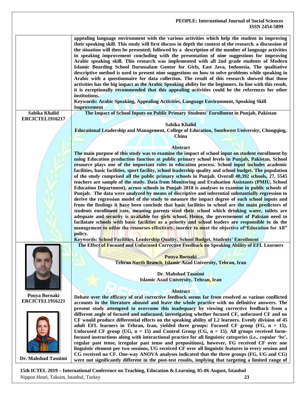**appealing language environment with the various activities which help the student in improving their speaking skill. This study will first discuss in depth the context of the research. a discussion of the situation will then be presented; followed by a description of the number of language activities in speaking improvement concluding with the presentation of nine suggestions for improving Arabic speaking skill. This research was implemented with all 2nd grade students of Modern Islamic Boarding School Darussalam Gontor for Girls, East Java, Indonesia. The qualitative descriptive method is used to present nine suggestions on how to solve problems while speaking in Arabic with a questionnaire for data collection. The result of this research showed that those activities has the big impact as the Arabic Speaking ability for the beginners. In line with this result, it is exceptionally recommended that this appealing activities could be the references for other institutions. Keywords: Arabic Speaking, Appealing Activities, Language Environment, Speaking Skill Improvement Sabika Khalid ERCICTEL1916217 The Impact of School Inputs on Public Primary Students' Enrollment in Punjab, Pakistan Sabika Khalid Educational Leadership and Management, College of Education, Southwest University, Chongqing, China Abstract The main purpose of this study was to examine the impact of school input on student enrollment by using Education production function at public primary school levels in Punjab, Pakistan. School resource plays one of the important roles in education process. School input includes academic facilities, basic facilities, sport facility, school leadership quality and school budget. The population of the study comprised all the public primary schools in Punjab. Overall 40,392 schools, 27, 5545 teachers are sample of the study. Data from Monitoring and Evaluation Assistants (PMIU, School Education Department), across schools in Punjab 2018 is analyses to examine in public schools of Punjab. The data were analyzed by means of discriptive and inferential substantially regression to derive the regression model of the study to measure the impact degree of each school inputs and from the findings it have been conclude that basic facilities in school are the main predictors of students enrollment rate, meaning parents send their school which drinking water, toilets are adequate and security is avaliable for girls school. Hence, the governement of Paksian need to facilatate schools with basic facilities as a priority and school leaders are responsible to do the management to utlize the resourses effectively, inorder to meet the objective of"Education for All" policy. Keywords: School Facilities, Leadership Quality, School Budget, Students' Enrollment The Effect of Focused and Unfocused Corrective Feedback on Speaking Ability of EFL Learners Pouya Bornaki Tehran North Branch, Islamic Azad University, Tehran, Iran**

**Dr. Mahshad Tasnimi Islamic Azad University, Tehran, Iran**

**Abstract**

**Debate over the efficacy of oral corrective feedback seems far from resolved as various conflicted accounts in the literature abound and leave the whole practice with no definitive answers. The present study attempted to overcome this inadequacy by viewing corrective feedback from a different angle of focused and unfocused, investigating whether focused CF, unfocused CF and no CF would produce differential effects on the speaking ability of L2 learners. Evenly division of 45 adult EFL learners in Tehran, Iran, yielded three groups: Focused CF group (FG, n = 15), Unfocused CF group (UG, n = 15) and Control Group (CG, n = 15). All groups received formfocused instructions along with interactional practice for all linguistic categories (i.e., copular 'be', regular past tense, irregular past tense and prepositions), however, FG received CF over one linguistic element per two sessions, UG received CF over all linguistic features in every session and CG received no CF. One-way ANOVA analyses indicated that the three groups (FG, UG and CG) were not significantly different in the post-test results, implying that targeting a limited range of** 

**15th ICTEL 2019 – International Conference on Teaching, Education & Learning, 05-06 August, Istanbul**  Nippon Hotel, Taksim, Istanbul, Turkey **23**





**Dr. Mahshad Tasnimi**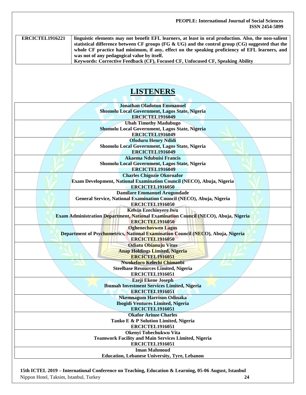**ERCICTEL1916221 linguistic elements may not benefit EFL learners, at least in oral production. Also, the non-salient statistical difference between CF groups (FG & UG) and the control group (CG) suggested that the whole CF practice had minimum, if any, effect on the speaking proficiency of EFL learners, and was not of any pedagogical value by itself. Keywords: Corrective Feedback (CF), Focused CF, Unfocused CF, Speaking Ability**

## **LISTENERS**

| <b>Jonathan Oladotun Emmanuel</b>                                                   |
|-------------------------------------------------------------------------------------|
| Shomolu Local Government, Lagos State, Nigeria                                      |
| <b>ERCICTEL1916049</b>                                                              |
| <b>Ubah Timothy Madubugo</b>                                                        |
| Shomolu Local Government, Lagos State, Nigeria                                      |
| <b>ERCICTEL1916049</b>                                                              |
| <b>Ofoduru Henry Ndidi</b>                                                          |
| Shomolu Local Government, Lagos State, Nigeria                                      |
| <b>ERCICTEL1916049</b>                                                              |
| <b>Akaema Ndubuisi Francis</b>                                                      |
| Shomolu Local Government, Lagos State, Nigeria                                      |
| ERCICTEL1916049                                                                     |
| <b>Charles Chigozie Okoroafor</b>                                                   |
| Exam Development, National Examination Council (NECO), Abuja, Nigeria               |
| <b>ERCICTEL1916050</b>                                                              |
| <b>Damilare Emmanuel Arogundade</b>                                                 |
| General Service, National Examination Council (NECO), Abuja, Nigeria                |
| <b>ERCICTEL1916050</b>                                                              |
| <b>Kelvin Ezechinyere Iwu</b>                                                       |
| Exam Administration Department, National Examination Council (NECO), Abuja, Nigeria |
| <b>ERCICTEL1916050</b>                                                              |
| <b>Oghenechovwen Lagos</b>                                                          |
| Department of Psychometrics, National Examination Council (NECO), Abuja, Nigeria    |
| <b>ERCICTEL1916050</b>                                                              |
| <b>Odiatu Obianuju Vitus</b>                                                        |
| <b>Anap Holdings Limited, Nigeria</b>                                               |
| <b>ERCICTEL1916051</b>                                                              |
| Nwokeforo Kelechi Chimaobi                                                          |
| <b>Steelbase Resources Limited, Nigeria</b>                                         |
| <b>ERCICTEL1916051</b>                                                              |
| Ezeji Ekene Joseph                                                                  |
| <b>Ibumah Investment Services Limited, Nigeria</b>                                  |
| <b>ERCICTEL1916051</b>                                                              |
| <b>Nkemnagum Harrison Odinaka</b>                                                   |
| <b>Ibogidi Ventures Limited, Nigeria</b>                                            |
| <b>ERCICTEL1916051</b>                                                              |
| <b>Okafor Arinze Charles</b>                                                        |
| Tanko E & P Solution Limited, Nigeria                                               |
| <b>ERCICTEL1916051</b>                                                              |
| Okenyi Tobechukwu Vita                                                              |
| <b>Teamwork Facility and Main Services Limited, Nigeria</b>                         |
| <b>ERCICTEL1916051</b>                                                              |
| <b>Iman Mahmoud</b>                                                                 |
| <b>Education, Lebanese University, Tyre, Lebanon</b>                                |
|                                                                                     |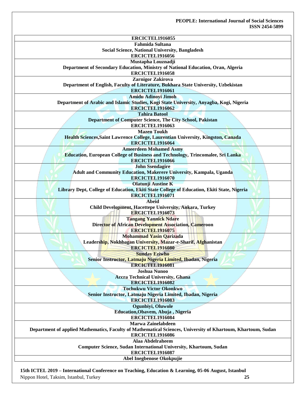| <b>ERCICTEL1916055</b><br><b>Fahmida Sultana</b>                                                             |
|--------------------------------------------------------------------------------------------------------------|
| <b>Social Science, National University, Bangladesh</b>                                                       |
| <b>ERCICTEL1916056</b>                                                                                       |
| Mustapha Louznadji                                                                                           |
| Department of Secondary Education, Ministry of National Education, Oran, Algeria                             |
| <b>ERCICTEL1916058</b>                                                                                       |
| Zarnigor Zakirova                                                                                            |
| Department of English, Faculty of Literature, Bukhara State University, Uzbekistan                           |
| <b>ERCICTEL1916061</b>                                                                                       |
| <b>Amidu Adinoyi Jimoh</b>                                                                                   |
| Department of Arabic and Islamic Studies, Kogi State University, Anyagba, Kogi, Nigeria                      |
| <b>ERCICTEL1916062</b>                                                                                       |
| <b>Tahira Batool</b><br>Department of Computer Science, The City School, Pakistan                            |
| <b>ERCICTEL1916063</b>                                                                                       |
| <b>Mazen Toukh</b>                                                                                           |
| Health Sciences, Saint Lawrence College, Laurentian University, Kingston, Canada                             |
| <b>ERCICTEL1916064</b>                                                                                       |
| <b>Ameerdeen Mohamed Asmy</b>                                                                                |
| Education, European College of Business and Technology, Trincomalee, Sri Lanka                               |
| <b>ERCICTEL1916066</b>                                                                                       |
| <b>John Ssendagire</b>                                                                                       |
| Adult and Community Education, Makerere University, Kampala, Uganda                                          |
| <b>ERCICTEL1916070</b>                                                                                       |
| <b>Olatunji Austine K</b>                                                                                    |
| Library Dept, College of Education, Ekiti State College of Education, Ekiti State, Nigeria                   |
| <b>ERCICTEL1916071</b>                                                                                       |
| <b>Abeid</b><br>Child Development, Hacettepe University, Ankara, Turkey                                      |
| <b>ERCICTEL1916073</b>                                                                                       |
| <b>Tangang Yannick Ndare</b>                                                                                 |
| <b>Director of African Development Association, Cameroon</b>                                                 |
| <b>ERCICTEL1916075</b>                                                                                       |
| Mohammad Yasin Qarizada                                                                                      |
| Leadership, Nokhbagan University, Mazar-e-Sharif, Afghanistan                                                |
| <b>ERCICTEL1916080</b>                                                                                       |
| <b>Sunday Eziwho</b>                                                                                         |
| Senior Instructor, Latmaju Nigeria Limited, Ibadan, Nigeria                                                  |
| <b>ERCICTEL1916081</b>                                                                                       |
| <b>Joshua Nunoo</b><br><b>Accra Technical University, Ghana</b>                                              |
| <b>ERCICTEL1916082</b>                                                                                       |
| <b>Tochukwu Victor Okonkwo</b>                                                                               |
| Senior Instructor, Latmaju Nigeria Limited, Ibadan, Nigeria                                                  |
| <b>ERCICTEL1916083</b>                                                                                       |
| Ogunbiyi, Oluwole                                                                                            |
| Education, Obavem, Abuja, Nigeria                                                                            |
| <b>ERCICTEL1916084</b>                                                                                       |
| <b>Marwa Zainelabdeen</b>                                                                                    |
| Department of applied Mathematics, Faculty of Mathematical Sciences, University of Khartoum, Khartoum, Sudan |
| ERCICTEL1916086                                                                                              |
| Alaa Abdelraheem                                                                                             |
| Computer Science, Sudan International University, Khartoum, Sudan<br>ERCICTEL1916087                         |
| Abel Inegbenose Okokpujie                                                                                    |
|                                                                                                              |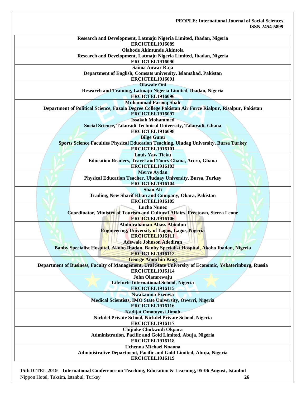| Research and Development, Latmaju Nigeria Limited, Ibadan, Nigeria                                      |
|---------------------------------------------------------------------------------------------------------|
| <b>ERCICTEL1916089</b>                                                                                  |
| <b>Olabode Akintunde Akintola</b>                                                                       |
| Research and Development, Latmaju Nigeria Limited, Ibadan, Nigeria                                      |
| ERCICTEL1916090                                                                                         |
| Saima Anwar Raja                                                                                        |
| Department of English, Comsats university, Islamabad, Pakistan                                          |
| <b>ERCICTEL1916091</b>                                                                                  |
| <b>Olawale Oni</b>                                                                                      |
| Research and Training, Latmaju Nigeria Limited, Ibadan, Nigeria                                         |
| <b>ERCICTEL1916096</b>                                                                                  |
|                                                                                                         |
| <b>Muhammad Farooq Shah</b>                                                                             |
| Department of Political Science, Fazaia Degree College Pakistan Air Force Rialpur, Risalpur, Pakistan   |
| <b>ERCICTEL1916097</b>                                                                                  |
| <b>Issakah Mohammed</b>                                                                                 |
| Social Science, Takoradi Technical University, Takoradi, Ghana                                          |
| <b>ERCICTEL1916098</b>                                                                                  |
| <b>Bilge Gunu</b>                                                                                       |
| Sports Science Faculties Physical Education Teaching, Uludag University, Bursa Turkey                   |
| <b>ERCICTEL1916101</b>                                                                                  |
| <b>Louis Yaw Tieku</b>                                                                                  |
| <b>Education Readers, Travel and Tours Ghana, Accra, Ghana</b>                                          |
| <b>ERCICTEL1916103</b>                                                                                  |
| <b>Merve Aydan</b>                                                                                      |
|                                                                                                         |
| Physical Education Teacher, Uludaay University, Bursa, Turkey                                           |
| ERCICTEL1916104                                                                                         |
| <b>Shan Ali</b>                                                                                         |
| Trading, New Sharif Khan and Company, Okara, Pakistan                                                   |
| <b>ERCICTEL1916105</b>                                                                                  |
| <b>Lucho Nunez</b>                                                                                      |
| Coordinator, Ministry of Tourism and Cultural Affairs, Freetown, Sierra Leone                           |
| <b>ERCICTEL1916106</b>                                                                                  |
| <b>Abdulrahaman Abass Abiodun</b>                                                                       |
| <b>Engineering, University of Lagos, Lagos, Nigeria</b>                                                 |
| ERCICTEL1916111                                                                                         |
| <b>Adewale Johnson Adediran</b>                                                                         |
| Banby Specialist Hospital, Akobo Ibadan, Banby Specialist Hospital, Akobo Ibadan, Nigeria               |
| <b>ERCICTEL1916112</b>                                                                                  |
|                                                                                                         |
| <b>George Amuchin King</b>                                                                              |
| Department of Business, Faculty of Management, Ural State University of Economic, Yekaterinburg, Russia |
| ERCICTEL1916114                                                                                         |
| John Olamrewaju                                                                                         |
| Lifeforte International School, Nigeria                                                                 |
| <b>ERCICTEL1916115</b>                                                                                  |
| Nwakanma Ezenwa                                                                                         |
| Medical Scientists, IMO State University, Owerri, Nigeria                                               |
| <b>ERCICTEL1916116</b>                                                                                  |
| Kadijat Omotoyosi Jimoh                                                                                 |
| Nickdel Private School, Nickdel Private School, Nigeria                                                 |
| ERCICTEL1916117                                                                                         |
|                                                                                                         |
| Chijioke Chukwudi Okpara                                                                                |
| Administration, Pacific and Gold Limited, Abuja, Nigeria                                                |
| ERCICTEL1916118                                                                                         |
| <b>Uchenna Michael Nnaona</b>                                                                           |
| Administrative Department, Pacific and Gold Limited, Abuja, Nigeria                                     |
| ERCICTEL1916119                                                                                         |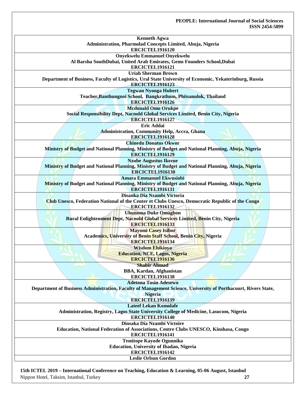| <b>Kenneth Agwa</b><br>Administration, Pharmolad Concepts Limited, Abuja, Nigeria                                                  |
|------------------------------------------------------------------------------------------------------------------------------------|
| <b>ERCICTEL1916120</b>                                                                                                             |
| <b>Onyekwelu Emmanuel Onyekwelu</b>                                                                                                |
| Al Barsha SouthDubai, United Arab Emirates, Gems Founders School,Dubai                                                             |
| <b>ERCICTEL1916121</b>                                                                                                             |
| <b>Uriah Sherman Brown</b>                                                                                                         |
| Department of Business, Faculty of Logistics, Ural State University of Economic, Yekaterinburg, Russia                             |
| <b>ERCICTEL1916123</b>                                                                                                             |
| <b>Tegwan Nyonga Hubert</b>                                                                                                        |
| Teacher, Banthungnoi School, Bangkrathum, Phitsanulok, Thailand                                                                    |
| ERCICTEL1916126                                                                                                                    |
| <b>Mcdonald Omo Orukpe</b>                                                                                                         |
| Social Responsibility Dept, Nacnold Global Services Limited, Benin City, Nigeria                                                   |
| ERCICTEL1916127                                                                                                                    |
| <b>Eric Addai</b>                                                                                                                  |
| <b>Administration, Community Help, Accra, Ghana</b>                                                                                |
| <b>ERCICTEL1916128</b>                                                                                                             |
| <b>Chinedu Donatus Okwor</b>                                                                                                       |
| Ministry of Budget and National Planning, Ministry of Budget and National Planning, Abuja, Nigeria                                 |
| <b>ERCICTEL1916129</b>                                                                                                             |
| <b>Nzube Augustus Ikezue</b><br>Ministry of Budget and National Planning, Ministry of Budget and National Planning, Abuja, Nigeria |
| <b>ERCICTEL1916130</b>                                                                                                             |
| <b>Amara Emmanuel Ekwusiobi</b>                                                                                                    |
| Ministry of Budget and National Planning, Ministry of Budget and National Planning, Abuja, Nigeria                                 |
| ERCICTEL1916131                                                                                                                    |
| Disanka Dia Nzambi Victoria                                                                                                        |
| Club Unesco, Federation National of the Center et Clubs Unesco, Democratic Republic of the Congo                                   |
| ERCICTEL1916132                                                                                                                    |
| <b>Uhunoma Duke Omagbon</b>                                                                                                        |
| Rural Enlightenment Dept, Nacnold Global Services Limited, Benin City, Nigeria                                                     |
| <b>ERCICTEL1916133</b>                                                                                                             |
| <b>Mayomi Casey Isibor</b>                                                                                                         |
| <b>Academics, University of Benin Staff School, Benin City, Nigeria</b>                                                            |
| <b>ERCICTEL1916134</b>                                                                                                             |
| <b>Wisdom Ehikioya</b>                                                                                                             |
| <b>Education, NCE, Lagos, Nigeria</b>                                                                                              |
| <b>ERCICTEL1916136</b>                                                                                                             |
| <b>Shabir Ahmad</b>                                                                                                                |
| <b>BBA, Kardan, Afghanistan</b>                                                                                                    |
| <b>ERCICTEL1916138</b>                                                                                                             |
| <b>Adetona Tosin Adesewo</b>                                                                                                       |
| Department of Business Administration, Faculty of Management Science, University of Porthacourt, Rivers State,                     |
| <b>Nigeria</b><br><b>ERCICTEL1916139</b>                                                                                           |
| <b>Lateef Lekan Komolafe</b>                                                                                                       |
| Administration, Registry, Lagos State University College of Medicine, Lasucom, Nigeria                                             |
| ERCICTEL1916140                                                                                                                    |
| Dinsaka Dia Nzambi Victoire                                                                                                        |
| Education, National Federation of Associations, Centre Clubs UNESCO, Kinshasa, Congo                                               |
| ERCICTEL1916141                                                                                                                    |
| Temitope Kayode Ogunnika                                                                                                           |
| <b>Education, University of Ibadan, Nigeria</b>                                                                                    |
| ERCICTEL1916142                                                                                                                    |
| <b>Leslie Orlson Gordon</b>                                                                                                        |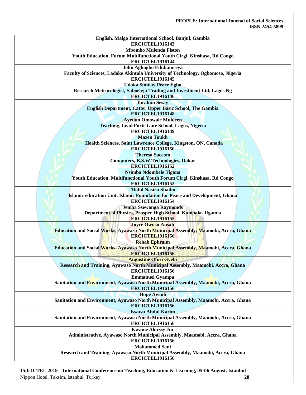| English, Malgo International School, Banjul, Gambia                                                           |
|---------------------------------------------------------------------------------------------------------------|
| ERCICTEL1916143                                                                                               |
| <b>Mbombo Mulenda Fiston</b>                                                                                  |
| Youth Education, Forum Multifunctional Youth Cirgl, Kinshasa, Rd Congo<br>ERCICTEL1916144                     |
| John Aghogho Edidiamreya                                                                                      |
| Faculty of Sciences, Ladoke Akintola University of Technology, Ogbomoso, Nigeria                              |
| ERCICTEL1916145                                                                                               |
| <b>Udoka Sunday Peace Egbo</b>                                                                                |
| Research Meteorologist, Saboeleja Trading and Investment Ltd, Lagos Ng                                        |
| <b>ERCICTEL1916146</b>                                                                                        |
| <b>Ihrahim Sesay</b>                                                                                          |
| <b>English Department, Catter Upper Basic School, The Gambia</b>                                              |
| <b>ERCICTEL1916148</b>                                                                                        |
| <b>Ayedun Omowale Muideen</b>                                                                                 |
| <b>Teaching, Lead Forte Gate School, Lagos, Nigeria</b><br>ERCICTEL1916149                                    |
| <b>Mazen Toukh</b>                                                                                            |
| Health Sciences, Saint Lawrence College, Kingston, ON, Canada                                                 |
| <b>ERCICTEL1916150</b>                                                                                        |
| <b>Theresa Saccom</b>                                                                                         |
| <b>Computers, B.S.W.Technologies, Dakar</b>                                                                   |
| <b>ERCICTEL1916152</b>                                                                                        |
| Nsimba Ndombele Tigana                                                                                        |
| Youth Education, Multifunctional Youth Forum Cirgl, Kinshasa, Rd Congo                                        |
| <b>ERCICTEL1916153</b>                                                                                        |
| <b>Abdul Nasiru Shaibu</b>                                                                                    |
| Islamic education Unit, Islamic Foundation for Peace and Development, Ghana                                   |
| ERCICTEL1916154                                                                                               |
| <b>Jemba Ssewanga Raymonds</b>                                                                                |
| Department of Physics, Prosper High School, Kampala- Uganda                                                   |
| <b>ERCICTEL1916155</b>                                                                                        |
| <b>Joyce Owusu Ansah</b>                                                                                      |
| Education and Social Works, Ayawaso North Municipal Assembly, Maamobi, Accra, Ghana                           |
| <b>ERCICTEL1916156</b>                                                                                        |
| <b>Rehab Ephraim</b>                                                                                          |
| Education and Social Works, Ayawaso North Municipal Assembly, Maamobi, Accra, Ghana                           |
| <b>ERCICTEL1916156</b>                                                                                        |
| <b>Augustine Ofori Gyebi</b>                                                                                  |
| Research and Training, Ayawaso North Municipal Assembly, Maamobi, Accra, Ghana                                |
| <b>ERCICTEL1916156</b>                                                                                        |
| <b>Emmanuel Gyampa</b><br>Sanitation and Environment, Ayawaso North Municipal Assembly, Maamobi, Accra, Ghana |
| <b>ERCICTEL1916156</b>                                                                                        |
| <b>Hope Awudi</b>                                                                                             |
| Sanitation and Environment, Ayawaso North Municipal Assembly, Maamobi, Accra, Ghana                           |
| <b>ERCICTEL1916156</b>                                                                                        |
| <b>Issawu Abdul Karim</b>                                                                                     |
| Sanitation and Environment, Ayawaso North Municipal Assembly, Maamobi, Accra, Ghana                           |
| <b>ERCICTEL1916156</b>                                                                                        |
| <b>Kwame Alorssy Jnr</b>                                                                                      |
| Administrative, Ayawaso North Municipal Assembly, Maamobi, Accra, Ghana                                       |
| <b>ERCICTEL1916156</b>                                                                                        |
| <b>Mohammed Sani</b>                                                                                          |
| Research and Training, Ayawaso North Municipal Assembly, Maamobi, Accra, Ghana                                |
| <b>ERCICTEL1916156</b>                                                                                        |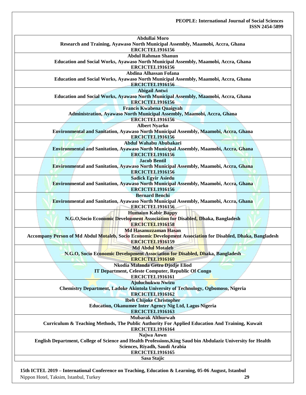| Abdullai Moro                                                                                                |
|--------------------------------------------------------------------------------------------------------------|
| Research and Training, Ayawaso North Municipal Assembly, Maamobi, Accra, Ghana                               |
| <b>ERCICTEL1916156</b>                                                                                       |
| <b>Abdul Rahman Shanun</b>                                                                                   |
| Education and Social Works, Ayawaso North Municipal Assembly, Maamobi, Accra, Ghana                          |
| <b>ERCICTEL1916156</b>                                                                                       |
| Abdina Alhassan Fofana                                                                                       |
| Education and Social Works, Ayawaso North Municipal Assembly, Maamobi, Accra, Ghana                          |
| <b>ERCICTEL1916156</b>                                                                                       |
| <b>Abigail Antwi</b>                                                                                         |
| Education and Social Works, Ayawaso North Municipal Assembly, Maamobi, Accra, Ghana                          |
| <b>ERCICTEL1916156</b>                                                                                       |
| <b>Francis Kwabena Quaigyah</b>                                                                              |
| Administration, Ayawaso North Municipal Assembly, Maamobi, Accra, Ghana<br><b>ERCICTEL1916156</b>            |
| <b>Albert Nyarko</b>                                                                                         |
| Environmental and Sanitation, Ayawaso North Municipal Assembly, Maamobi, Accra, Ghana                        |
| <b>ERCICTEL1916156</b>                                                                                       |
| Abdul Wahabu Abubakari                                                                                       |
| Environmental and Sanitation, Ayawaso North Municipal Assembly, Maamobi, Accra, Ghana                        |
| <b>ERCICTEL1916156</b>                                                                                       |
| <b>Jacob Bentil</b>                                                                                          |
| Environmental and Sanitation, Ayawaso North Municipal Assembly, Maamobi, Accra, Ghana                        |
| <b>ERCICTEL1916156</b>                                                                                       |
| <b>Sadick Egyir Asiedu</b>                                                                                   |
| Environmental and Sanitation, Ayawaso North Municipal Assembly, Maamobi, Accra, Ghana                        |
| <b>ERCICTEL1916156</b>                                                                                       |
| <b>Bernard Benchi</b>                                                                                        |
| Environmental and Sanitation, Ayawaso North Municipal Assembly, Maamobi, Accra, Ghana                        |
| <b>ERCICTEL1916156</b>                                                                                       |
| <b>Humaiun Kabir Bappy</b>                                                                                   |
| N.G.O, Socio Economic Development Association for Disabled, Dhaka, Bangladesh                                |
| <b>ERCICTEL1916158</b>                                                                                       |
| <b>Md Hasanuzzaman Hasan</b>                                                                                 |
| Accompany Person of Md Abdul Motaleb, Socio Economic Development Association for Disabled, Dhaka, Bangladesh |
| <b>ERCICTEL1916159</b>                                                                                       |
| <b>Md Abdul Motaleb</b>                                                                                      |
| N.G.O, Socio Economic Development Association for Disabled, Dhaka, Bangladesh                                |
| <b>ERCICTEL1916160</b>                                                                                       |
| Nkodia Malanda Getro Djodje Eliod                                                                            |
| IT Department, Celeste Computer, Republic Of Congo<br>ERCICTEL1916161                                        |
| Ajuluchukwu Nwizu                                                                                            |
| <b>Chemistry Department, Ladoke Akintola University of Technology, Ogbomoso, Nigeria</b>                     |
| <b>ERCICTEL1916162</b>                                                                                       |
| <b>Ibeh Chijoke Christopher</b>                                                                              |
| Education, Okanumee Inter Agency Nig Ltd, Lagos Nigeria                                                      |
| <b>ERCICTEL1916163</b>                                                                                       |
| <b>Mubarak Althurwah</b>                                                                                     |
| Curriculum & Teaching Methods, The Public Authority For Applied Education And Training, Kuwait               |
| ERCICTEL1916164                                                                                              |
| Najwa Aown                                                                                                   |
| English Department, College of Science and Health Professions, King Saud bin Abdulaziz University for Health |
| Sciences, Riyadh, Saudi Arabia                                                                               |
| <b>ERCICTEL1916165</b>                                                                                       |
|                                                                                                              |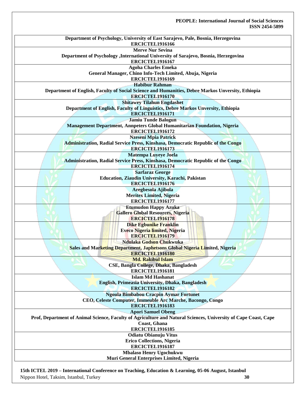| Department of Psychology, University of East Sarajevo, Pale, Bosnia, Herzegovina                                |
|-----------------------------------------------------------------------------------------------------------------|
| ERCICTEL1916166                                                                                                 |
| <b>Merve Nur Sevina</b>                                                                                         |
| Department of Psychology , International University of Sarajevo, Bosnia, Herzegovina<br><b>ERCICTEL1916167</b>  |
|                                                                                                                 |
| <b>Agoha Charles Emeka</b>                                                                                      |
| General Manager, Chino Info-Tech Limited, Abuja, Nigeria                                                        |
| ERCICTEL1916169                                                                                                 |
| <b>Habibur Rahman</b>                                                                                           |
| Department of English, Faculty of Social Science and Humanities, Debre Markos Unversity, Ethiopia               |
| <b>ERCICTEL1916170</b>                                                                                          |
| <b>Shitawey Tilahun Engdashet</b>                                                                               |
| Department of English, Faculty of Linguistics, Debre Markos Unversity, Ethiopia                                 |
| <b>ERCICTEL1916171</b>                                                                                          |
| <b>Jamiu Tunde Balogun</b>                                                                                      |
| Management Department, Annpeters Global Humanitarian Foundation, Nigeria                                        |
| <b>ERCICTEL1916172</b>                                                                                          |
| <b>Nzeseni Mpia Patrick</b>                                                                                     |
| Administration, Radial Service Press, Kinshasa, Democratic Republic of the Congo                                |
| <b>ERCICTEL1916173</b>                                                                                          |
| <b>Matempa Luyeye Joela</b>                                                                                     |
| Administration, Radial Service Press, Kinshasa, Democratic Republic of the Congo                                |
| <b>ERCICTEL1916174</b>                                                                                          |
| <b>Sarfaraz George</b>                                                                                          |
| Education, Ziaudin University, Karachi, Pakistan                                                                |
| <b>ERCICTEL1916176</b>                                                                                          |
| Aregbesola Ajibola                                                                                              |
| <b>Meritex Limited, Nigeria</b>                                                                                 |
| <b>ERCICTEL1916177</b>                                                                                          |
| <b>Etumudon Happy Azuka</b>                                                                                     |
| <b>Gallero Global Resources, Nigeria</b>                                                                        |
| <b>ERCICTEL1916178</b>                                                                                          |
| Dike Egbunike Franklin                                                                                          |
| Eveco Nigeria limited, Nigeria                                                                                  |
| <b>ERCICTEL1916179</b>                                                                                          |
| Ndulaka Godson Chukwuka                                                                                         |
| Sales and Marketing Department, Japhetsons Global Nigeria Limited, Nigeria                                      |
| <b>ERCICTEL1916180</b>                                                                                          |
| <b>Md. Rakibul Islam</b>                                                                                        |
| CSE, Bangla College, Dhaka, Bangladesh                                                                          |
| <b>ERCICTEL1916181</b>                                                                                          |
|                                                                                                                 |
| <b>Islam Md Hashanat</b>                                                                                        |
| English, Primeasia University, Dhaka, Bangladesh                                                                |
| <b>ERCICTEL1916182</b>                                                                                          |
| <b>Ngoula Bimbabou Cracpin Aymar Fortunet</b>                                                                   |
| CEO, Celeste Computer, Immeuble Arc Marche, Bacongo, Congo                                                      |
| <b>ERCICTEL1916183</b>                                                                                          |
| <b>Apori Samuel Obeng</b>                                                                                       |
| Prof, Department of Animal Science, Faculty of Agriculture and Natural Sciences, University of Cape Coast, Cape |
| Coast, Ghana                                                                                                    |
| <b>ERCICTEL1916185</b>                                                                                          |
| <b>Odiatu Obianuju Vitus</b>                                                                                    |
| <b>Erico Collections, Nigeria</b>                                                                               |
| ERCICTEL1916187                                                                                                 |
| <b>Mbalaso Henry Ugochukwu</b>                                                                                  |
| Muri General Enterprises Limited, Nigeria                                                                       |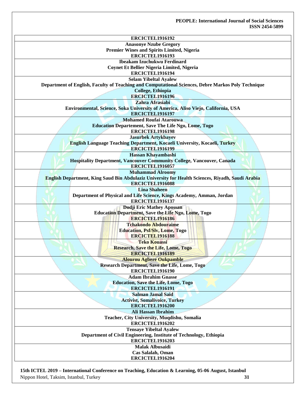| ERCICTEL1916192<br><b>Anasonye Nzube Gregory</b>                                                                                   |
|------------------------------------------------------------------------------------------------------------------------------------|
| Premier Wines and Spirits Limited, Nigeria                                                                                         |
| <b>ERCICTEL1916193</b>                                                                                                             |
| <b>Ibeakam Izuchukwu Ferdinard</b>                                                                                                 |
| Coynet Et Bellier Nigeria Limited, Nigeria                                                                                         |
| ERCICTEL1916194                                                                                                                    |
|                                                                                                                                    |
| <b>Selam Yibeltal Ayalew</b><br>Department of English, Faculty of Teaching and Computational Sciences, Debre Markos Poly Technique |
|                                                                                                                                    |
| College, Ethiopia                                                                                                                  |
| <b>ERCICTEL1916196</b><br>Zahra Afrasiabi                                                                                          |
|                                                                                                                                    |
| Environmental, Science, Soka University of America, Aliso Viejo, California, USA                                                   |
| ERCICTEL1916197                                                                                                                    |
| <b>Mohamed Roufai Atarouwa</b>                                                                                                     |
| <b>Education Departement, Save The Life Ngo, Lome, Togo</b>                                                                        |
| <b>ERCICTEL1916198</b>                                                                                                             |
| <b>Jasurbek Artykbayev</b>                                                                                                         |
| English Language Teaching Department, Kocaeli University, Kocaeli, Turkey                                                          |
| <b>ERCICTEL1916199</b>                                                                                                             |
| Hassan Khayambashi                                                                                                                 |
| Hospitality Department, Vancouver Community College, Vancouver, Canada                                                             |
| <b>ERCICTEL1916057</b>                                                                                                             |
| <b>Muhammad Alroomy</b>                                                                                                            |
| English Department, King Saud Bin Abdulaziz University for Health Sciences, Riyadh, Saudi Arabia                                   |
| <b>ERCICTEL1916088</b>                                                                                                             |
| <b>Lina Shaheen</b>                                                                                                                |
| Department of Physical and Life Science, Kings Academy, Amman, Jordan                                                              |
| ERCICTEL1916137                                                                                                                    |
| Dodji Eric Mathey Apossan                                                                                                          |
| <b>Education Department, Save the Life Ngo, Lome, Togo</b>                                                                         |
| <b>ERCICTEL1916186</b>                                                                                                             |
| <b>Tchakondo Abdouraime</b>                                                                                                        |
| Education, Psf/Slv, Lome, Togo                                                                                                     |
| <b>ERCICTEL1916188</b>                                                                                                             |
| <b>Teko Kouassi</b>                                                                                                                |
| <b>Research, Save the Life, Lome, Togo</b>                                                                                         |
| ERCICTEL1916189                                                                                                                    |
| <b>Alourou Agbere Oukpamble</b>                                                                                                    |
| <b>Research Department, Save the Life, Lome, Togo</b>                                                                              |
| <b>ERCICTEL1916190</b>                                                                                                             |
| <b>Adam Ibrahim Gnasse</b>                                                                                                         |
| <b>Education, Save the Life, Lome, Togo</b>                                                                                        |
| <b>ERCICTEL1916191</b>                                                                                                             |
| <b>Salman Jamal Said</b>                                                                                                           |
| <b>Activist, Somalivoice, Turkey</b>                                                                                               |
| <b>ERCICTEL1916200</b>                                                                                                             |
| <b>Ali Hassan Ibrahim</b>                                                                                                          |
| Teacher, City University, Muqdishu, Somalia                                                                                        |
| <b>ERCICTEL1916202</b>                                                                                                             |
| <b>Tensaye Yibeltal Ayalew</b>                                                                                                     |
| Department of Civil Engineering, Institute of Technology, Ethiopia                                                                 |
| <b>ERCICTEL1916203</b>                                                                                                             |
| <b>Malak Albusaidi</b>                                                                                                             |
| Cas Salalah, Oman                                                                                                                  |
| ERCICTEL1916204                                                                                                                    |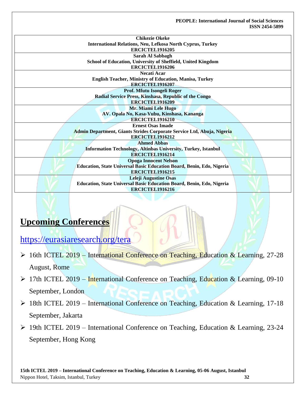| <b>Chikezie Okeke</b>                                                        |
|------------------------------------------------------------------------------|
| International Relations, Neu, Lefkosa North Cyprus, Turkey                   |
| <b>ERCICTEL1916205</b>                                                       |
| Sarah Al Sabbagh                                                             |
| School of Education, University of Sheffield, United Kingdom                 |
| <b>ERCICTEL1916206</b>                                                       |
| <b>Necati Acar</b>                                                           |
| <b>English Teacher, Ministry of Education, Manisa, Turkey</b>                |
| <b>ERCICTEL1916207</b>                                                       |
| Prof. Mfutu Isongeli Roger                                                   |
| Radial Service Press, Kinshasa, Republic of the Congo                        |
| <b>ERCICTEL1916209</b>                                                       |
| Mr. Miami Lele Hugo                                                          |
| AV. Opala No, Kasa-Vubu, Kinshasa, Kananga                                   |
| <b>ERCICTEL1916210</b>                                                       |
| <b>Ernest Osas Imade</b>                                                     |
| Admin Department, Giants Strides Corporate Service Ltd, Abuja, Nigeria       |
| <b>ERCICTEL1916212</b>                                                       |
| <b>Ahmed Abbas</b>                                                           |
| <b>Information Technology, Altinbas University, Turkey, Istanbul</b>         |
| ERCICTEL1916214                                                              |
| <b>Opoga Innocent Nelson</b>                                                 |
| <b>Education, State Universal Basic Education Board, Benin, Edo, Nigeria</b> |
| <b>ERCICTEL1916215</b>                                                       |
| <b>Leleji Augustine Osas</b>                                                 |
| Education, State Universal Basic Education Board, Benin, Edo, Nigeria        |
| <b>ERCICTEL1916216</b>                                                       |

# **Upcoming Conferences**

<https://eurasiaresearch.org/tera>

- 16th ICTEL 2019 International Conference on Teaching, Education & Learning, 27-28 August, Rome
- ▶ 17th ICTEL 2019 International Conference on Teaching, Education & Learning, 09-10 September, London
- 18th ICTEL 2019 International Conference on Teaching, Education & Learning, 17-18 September, Jakarta
- 19th ICTEL 2019 International Conference on Teaching, Education & Learning, 23-24 September, Hong Kong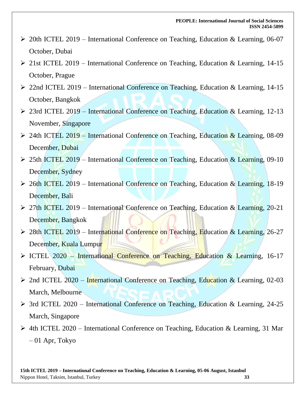- 20th ICTEL 2019 International Conference on Teaching, Education & Learning, 06-07 October, Dubai
- 21st ICTEL 2019 [International Conference on Teaching, Education & Learning, 14-15](https://eurasiaresearch.org/conference/prague-ictel-14-15-oct-2019)  [October, Prague](https://eurasiaresearch.org/conference/prague-ictel-14-15-oct-2019)
- 22nd ICTEL 2019 [International Conference on Teaching, Education & Learning, 14-15](https://eurasiaresearch.org/conference/bangkok-ictel-14-15-oct-2019)  [October, Bangkok](https://eurasiaresearch.org/conference/bangkok-ictel-14-15-oct-2019)
- 23rd ICTEL 2019 International Conference on Teaching, Education & Learning, 12-13 November, Singapore
- 24th ICTEL 2019 International Conference on Teaching, Education & Learning, 08-09 December, Dubai
- 25th ICTEL 2019 International Conference on Teaching, Education & Learning, 09-10 December, Sydney
- 26th ICTEL 2019 International Conference on Teaching, Education & Learning, 18-19 December, Bali
- 27th ICTEL 2019 International Conference on Teaching, Education & Learning, 20-21 December, Bangkok
- ▶ 28th ICTEL 2019 International Conference on Teaching, Education & Learning, 26-27 December, Kuala Lumpur
- ICTEL 2020 [International Conference on Teaching, Education & Learning, 16-17](https://eurasiaresearch.org/conference/dubai-ictel-16-17-feb-2020) [February, Dubai](https://eurasiaresearch.org/conference/dubai-ictel-16-17-feb-2020)
- 2nd ICTEL 2020 [International Conference on Teaching, Education & Learning, 02-03](https://eurasiaresearch.org/conference/melbourne-ictel-02-03-mar-2020)  [March, Melbourne](https://eurasiaresearch.org/conference/melbourne-ictel-02-03-mar-2020)
- 3rd ICTEL 2020 International Conference on Teaching, Education & Learning, 24-25 March, Singapore
- 4th ICTEL 2020 International Conference on Teaching, Education & Learning, 31 Mar – 01 Apr, Tokyo